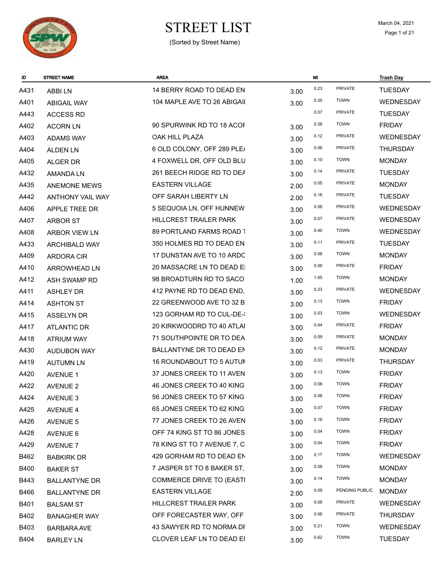

#### $\begin{array}{ll}\n\textbf{STREF LIST} & \textbf{March 04, 2021} \\
\textbf{Page 1 of 21}\n\end{array}$ (Sorted by Street Name)

| ID          | <b>STREET NAME</b>      | <b>AREA</b>                     |      | MI   |                | <b>Trash Day</b> |
|-------------|-------------------------|---------------------------------|------|------|----------------|------------------|
| A431        | <b>ABBILN</b>           | 14 BERRY ROAD TO DEAD EN        | 3.00 | 0.23 | <b>PRIVATE</b> | <b>TUESDAY</b>   |
| A401        | <b>ABIGAIL WAY</b>      | 104 MAPLE AVE TO 26 ABIGAII     | 3.00 | 0.35 | <b>TOWN</b>    | <b>WEDNESDAY</b> |
| A443        | <b>ACCESS RD</b>        |                                 |      | 0.07 | PRIVATE        | <b>TUESDAY</b>   |
| A402        | <b>ACORN LN</b>         | 90 SPURWINK RD TO 18 ACOF       | 3.00 | 0.38 | <b>TOWN</b>    | <b>FRIDAY</b>    |
| A403        | <b>ADAMS WAY</b>        | OAK HILL PLAZA                  | 3.00 | 0.12 | <b>PRIVATE</b> | WEDNESDAY        |
| A404        | <b>ALDEN LN</b>         | 6 OLD COLONY, OFF 289 PLE/      | 3.00 | 0.06 | <b>PRIVATE</b> | <b>THURSDAY</b>  |
| A405        | ALGER DR                | 4 FOXWELL DR, OFF OLD BLU       | 3.00 | 0.10 | <b>TOWN</b>    | <b>MONDAY</b>    |
| A432        | AMANDA LN               | 261 BEECH RIDGE RD TO DEA       | 3.00 | 0.14 | <b>PRIVATE</b> | <b>TUESDAY</b>   |
| A435        | <b>ANEMONE MEWS</b>     | <b>EASTERN VILLAGE</b>          | 2.00 | 0.05 | <b>PRIVATE</b> | <b>MONDAY</b>    |
| A442        | <b>ANTHONY VAIL WAY</b> | OFF SARAH LIBERTY LN            | 2.00 | 0.16 | <b>PRIVATE</b> | <b>TUESDAY</b>   |
| A406        | APPLE TREE DR           | 5 SEQUOIA LN, OFF HUNNEW        | 3.00 | 0.06 | <b>PRIVATE</b> | <b>WEDNESDAY</b> |
| A407        | <b>ARBOR ST</b>         | HILLCREST TRAILER PARK          | 3.00 | 0.07 | PRIVATE        | <b>WEDNESDAY</b> |
| A408        | ARBOR VIEW LN           | 89 PORTLAND FARMS ROAD 1        | 3.00 | 0.40 | <b>TOWN</b>    | <b>WEDNESDAY</b> |
| A433        | <b>ARCHIBALD WAY</b>    | 350 HOLMES RD TO DEAD EN        | 3.00 | 0.11 | PRIVATE        | <b>TUESDAY</b>   |
| A409        | ARDORA CIR              | 17 DUNSTAN AVE TO 10 ARDC       | 3.00 | 0.08 | <b>TOWN</b>    | <b>MONDAY</b>    |
| A410        | ARROWHEAD LN            | 20 MASSACRE LN TO DEAD EI       | 3.00 | 0.06 | <b>PRIVATE</b> | <b>FRIDAY</b>    |
| A412        | ASH SWAMP RD            | 98 BROADTURN RD TO SACO         | 1.00 | 1.95 | <b>TOWN</b>    | <b>MONDAY</b>    |
| A411        | <b>ASHLEY DR</b>        | 412 PAYNE RD TO DEAD END.       | 3.00 | 0.23 | <b>PRIVATE</b> | WEDNESDAY        |
| A414        | <b>ASHTON ST</b>        | 22 GREENWOOD AVE TO 32 B        | 3.00 | 0.13 | <b>TOWN</b>    | <b>FRIDAY</b>    |
| A415        | ASSELYN DR              | 123 GORHAM RD TO CUL-DE-        | 3.00 | 0.53 | <b>TOWN</b>    | <b>WEDNESDAY</b> |
| A417        | <b>ATLANTIC DR</b>      | 20 KIRKWOODRD TO 40 ATLAI       | 3.00 | 0.44 | PRIVATE        | <b>FRIDAY</b>    |
| A418        | <b>ATRIUM WAY</b>       | 71 SOUTHPOINTE DR TO DEA        | 3.00 | 0.09 | <b>PRIVATE</b> | <b>MONDAY</b>    |
| A430        | <b>AUDUBON WAY</b>      | BALLANTYNE DR TO DEAD EN        | 3.00 | 0.12 | <b>PRIVATE</b> | <b>MONDAY</b>    |
| A419        | <b>AUTUMN LN</b>        | <b>16 ROUNDABOUT TO 5 AUTUM</b> | 3.00 | 0.03 | <b>PRIVATE</b> | <b>THURSDAY</b>  |
| A420        | <b>AVENUE 1</b>         | 37 JONES CREEK TO 11 AVEN       | 3.00 | 0.13 | <b>TOWN</b>    | <b>FRIDAY</b>    |
| A422        | <b>AVENUE 2</b>         | 46 JONES CREEK TO 40 KING       | 3.00 | 0.08 | <b>TOWN</b>    | <b>FRIDAY</b>    |
| A424        | AVENUE 3                | 56 JONES CREEK TO 57 KING       | 3.00 | 0.08 | <b>TOWN</b>    | <b>FRIDAY</b>    |
| A425        | <b>AVENUE 4</b>         | 65 JONES CREEK TO 62 KING       | 3.00 | 0.07 | <b>TOWN</b>    | <b>FRIDAY</b>    |
| A426        | AVENUE 5                | 77 JONES CREEK TO 26 AVEN       | 3.00 | 0.16 | <b>TOWN</b>    | <b>FRIDAY</b>    |
| A428        | AVENUE 6                | OFF 74 KING ST TO 86 JONES      | 3.00 | 0.04 | <b>TOWN</b>    | <b>FRIDAY</b>    |
| A429        | <b>AVENUE 7</b>         | 78 KING ST TO 7 AVENUE 7, C     | 3.00 | 0.04 | <b>TOWN</b>    | <b>FRIDAY</b>    |
| B462        | <b>BABKIRK DR</b>       | 429 GORHAM RD TO DEAD EN        | 3.00 | 0.17 | <b>TOWN</b>    | <b>WEDNESDAY</b> |
| <b>B400</b> | <b>BAKER ST</b>         | 7 JASPER ST TO 8 BAKER ST,      | 3.00 | 0.08 | <b>TOWN</b>    | <b>MONDAY</b>    |
| B443        | <b>BALLANTYNE DR</b>    | COMMERCE DRIVE TO (EASTI        | 3.00 | 0.14 | <b>TOWN</b>    | <b>MONDAY</b>    |
| B466        | <b>BALLANTYNE DR</b>    | <b>EASTERN VILLAGE</b>          | 2.00 | 0.09 | PENDING PUBLIC | <b>MONDAY</b>    |
| B401        | <b>BALSAM ST</b>        | HILLCREST TRAILER PARK          | 3.00 | 0.08 | PRIVATE        | WEDNESDAY        |
| B402        | <b>BANAGHER WAY</b>     | OFF FORECASTER WAY, OFF         | 3.00 | 0.06 | <b>PRIVATE</b> | <b>THURSDAY</b>  |
| B403        | <b>BARBARA AVE</b>      | 43 SAWYER RD TO NORMA DF        | 3.00 | 0.21 | <b>TOWN</b>    | <b>WEDNESDAY</b> |
| B404        | <b>BARLEY LN</b>        | CLOVER LEAF LN TO DEAD EI       | 3.00 | 0.62 | <b>TOWN</b>    | <b>TUESDAY</b>   |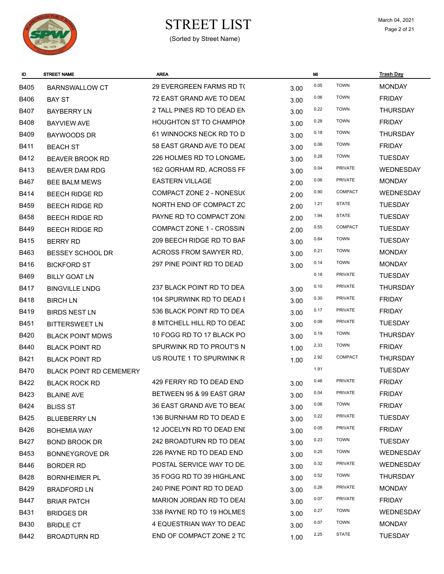

# $\begin{array}{ll}\n\textbf{STREF LIST} & \textbf{March 04, 2021} \\
\textbf{Page 2 of 21}\n\end{array}$

| ID          | <b>STREET NAME</b>             | <b>AREA</b>                    |      | MI   |                | <b>Trash Day</b> |
|-------------|--------------------------------|--------------------------------|------|------|----------------|------------------|
| <b>B405</b> | <b>BARNSWALLOW CT</b>          | 29 EVERGREEN FARMS RD TO       | 3.00 | 0.05 | <b>TOWN</b>    | <b>MONDAY</b>    |
| <b>B406</b> | <b>BAY ST</b>                  | 72 EAST GRAND AVE TO DEAI      | 3.00 | 0.06 | <b>TOWN</b>    | <b>FRIDAY</b>    |
| <b>B407</b> | <b>BAYBERRY LN</b>             | 2 TALL PINES RD TO DEAD EN     | 3.00 | 0.22 | <b>TOWN</b>    | <b>THURSDAY</b>  |
| <b>B408</b> | <b>BAYVIEW AVE</b>             | <b>HOUGHTON ST TO CHAMPION</b> | 3.00 | 0.28 | <b>TOWN</b>    | <b>FRIDAY</b>    |
| <b>B409</b> | <b>BAYWOODS DR</b>             | 61 WINNOCKS NECK RD TO D       | 3.00 | 0.18 | <b>TOWN</b>    | <b>THURSDAY</b>  |
| <b>B411</b> | <b>BEACH ST</b>                | 58 EAST GRAND AVE TO DEAI      | 3.00 | 0.06 | <b>TOWN</b>    | <b>FRIDAY</b>    |
| B412        | <b>BEAVER BROOK RD</b>         | 226 HOLMES RD TO LONGME/       | 3.00 | 0.28 | <b>TOWN</b>    | <b>TUESDAY</b>   |
| <b>B413</b> | <b>BEAVER DAM RDG</b>          | 162 GORHAM RD, ACROSS FF       | 3.00 | 0.04 | PRIVATE        | <b>WEDNESDAY</b> |
| <b>B467</b> | <b>BEE BALM MEWS</b>           | <b>EASTERN VILLAGE</b>         | 2.00 | 0.06 | PRIVATE        | <b>MONDAY</b>    |
| <b>B414</b> | <b>BEECH RIDGE RD</b>          | COMPACT ZONE 2 - NONESU(       | 2.00 | 0.90 | <b>COMPACT</b> | <b>WEDNESDAY</b> |
| <b>B459</b> | <b>BEECH RIDGE RD</b>          | NORTH END OF COMPACT ZC        | 2.00 | 1.21 | <b>STATE</b>   | <b>TUESDAY</b>   |
| <b>B458</b> | <b>BEECH RIDGE RD</b>          | PAYNE RD TO COMPACT ZONI       | 2.00 | 1.94 | <b>STATE</b>   | <b>TUESDAY</b>   |
| <b>B449</b> | <b>BEECH RIDGE RD</b>          | COMPACT ZONE 1 - CROSSIN       | 2.00 | 0.55 | COMPACT        | <b>TUESDAY</b>   |
| <b>B415</b> | <b>BERRY RD</b>                | 209 BEECH RIDGE RD TO BAF      | 3.00 | 0.64 | <b>TOWN</b>    | <b>TUESDAY</b>   |
| B463        | <b>BESSEY SCHOOL DR</b>        | ACROSS FROM SAWYER RD,         | 3.00 | 0.21 | <b>TOWN</b>    | <b>MONDAY</b>    |
| B416        | <b>BICKFORD ST</b>             | 297 PINE POINT RD TO DEAD      | 3.00 | 0.14 | <b>TOWN</b>    | <b>MONDAY</b>    |
| B469        | <b>BILLY GOAT LN</b>           |                                |      | 0.18 | PRIVATE        | <b>TUESDAY</b>   |
| <b>B417</b> | <b>BINGVILLE LNDG</b>          | 237 BLACK POINT RD TO DEA      | 3.00 | 0.10 | <b>PRIVATE</b> | <b>THURSDAY</b>  |
| B418        | <b>BIRCH LN</b>                | 104 SPURWINK RD TO DEAD E      | 3.00 | 0.30 | <b>PRIVATE</b> | <b>FRIDAY</b>    |
| <b>B419</b> | <b>BIRDS NEST LN</b>           | 536 BLACK POINT RD TO DEA      | 3.00 | 0.17 | <b>PRIVATE</b> | <b>FRIDAY</b>    |
| B451        | <b>BITTERSWEET LN</b>          | 8 MITCHELL HILL RD TO DEAD     | 3.00 | 0.08 | <b>PRIVATE</b> | <b>TUESDAY</b>   |
| <b>B420</b> | <b>BLACK POINT MDWS</b>        | 10 FOGG RD TO 17 BLACK PO      | 3.00 | 0.19 | <b>TOWN</b>    | <b>THURSDAY</b>  |
| <b>B440</b> | <b>BLACK POINT RD</b>          | SPURWINK RD TO PROUT'S N       | 1.00 | 2.33 | <b>TOWN</b>    | <b>FRIDAY</b>    |
| B421        | <b>BLACK POINT RD</b>          | US ROUTE 1 TO SPURWINK R       | 1.00 | 2.92 | COMPACT        | <b>THURSDAY</b>  |
| <b>B470</b> | <b>BLACK POINT RD CEMEMERY</b> |                                |      | 1.91 |                | <b>TUESDAY</b>   |
| B422        | <b>BLACK ROCK RD</b>           | 429 FERRY RD TO DEAD END       | 3.00 | 0.46 | <b>PRIVATE</b> | <b>FRIDAY</b>    |
| B423        | <b>BLAINE AVE</b>              | BETWEEN 95 & 99 EAST GRAN      | 3.00 | 0.04 | PRIVATE        | <b>FRIDAY</b>    |
| <b>B424</b> | <b>BLISS ST</b>                | 36 EAST GRAND AVE TO BEAC      | 3.00 | 0.06 | <b>TOWN</b>    | <b>FRIDAY</b>    |
| B425        | <b>BLUEBERRY LN</b>            | 136 BURNHAM RD TO DEAD E       | 3.00 | 0.22 | PRIVATE        | <b>TUESDAY</b>   |
| B426        | <b>BOHEMIA WAY</b>             | 12 JOCELYN RD TO DEAD ENI      | 3.00 | 0.05 | PRIVATE        | <b>FRIDAY</b>    |
| B427        | <b>BOND BROOK DR</b>           | 242 BROADTURN RD TO DEAI       | 3.00 | 0.23 | <b>TOWN</b>    | <b>TUESDAY</b>   |
| B453        | <b>BONNEYGROVE DR</b>          | 226 PAYNE RD TO DEAD END       | 3.00 | 0.25 | <b>TOWN</b>    | <b>WEDNESDAY</b> |
| B446        | <b>BORDER RD</b>               | POSTAL SERVICE WAY TO DE.      | 3.00 | 0.32 | PRIVATE        | WEDNESDAY        |
| B428        | <b>BORNHEIMER PL</b>           | 35 FOGG RD TO 39 HIGHLAND      | 3.00 | 0.52 | <b>TOWN</b>    | <b>THURSDAY</b>  |
| B429        | <b>BRADFORD LN</b>             | 240 PINE POINT RD TO DEAD      | 3.00 | 0.26 | PRIVATE        | <b>MONDAY</b>    |
| B447        | <b>BRIAR PATCH</b>             | MARION JORDAN RD TO DEAI       | 3.00 | 0.07 | PRIVATE        | <b>FRIDAY</b>    |
| B431        | <b>BRIDGES DR</b>              | 338 PAYNE RD TO 19 HOLMES      | 3.00 | 0.27 | <b>TOWN</b>    | WEDNESDAY        |
| B430        | <b>BRIDLE CT</b>               | 4 EQUESTRIAN WAY TO DEAD       | 3.00 | 0.07 | <b>TOWN</b>    | <b>MONDAY</b>    |
| B442        | <b>BROADTURN RD</b>            | END OF COMPACT ZONE 2 TC       | 1.00 | 2.25 | <b>STATE</b>   | <b>TUESDAY</b>   |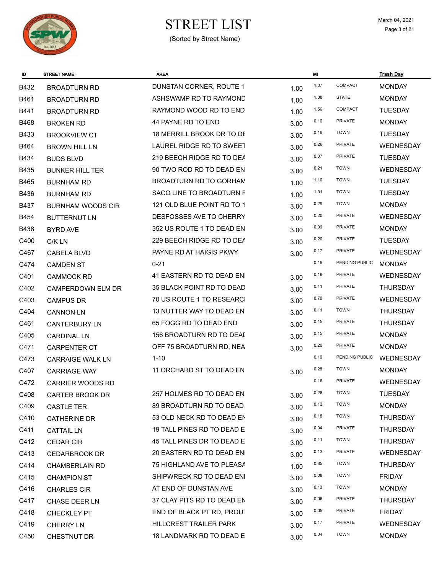

# $\begin{array}{cc}\n\textbf{STREF LIST} \\
\textcolor{red}{\text{March 04, 2021}} \\
\textcolor{red}{\text{Page 3 of 21}}\n\end{array}$

| ID          | <b>STREET NAME</b>       | <b>AREA</b>                |      | MI   |                | <b>Trash Day</b> |
|-------------|--------------------------|----------------------------|------|------|----------------|------------------|
| B432        | <b>BROADTURN RD</b>      | DUNSTAN CORNER, ROUTE 1    | 1.00 | 1.07 | COMPACT        | <b>MONDAY</b>    |
| B461        | <b>BROADTURN RD</b>      | ASHSWAMP RD TO RAYMOND     | 1.00 | 1.08 | <b>STATE</b>   | <b>MONDAY</b>    |
| B441        | <b>BROADTURN RD</b>      | RAYMOND WOOD RD TO END     | 1.00 | 1.56 | COMPACT        | <b>TUESDAY</b>   |
| <b>B468</b> | <b>BROKEN RD</b>         | 44 PAYNE RD TO END         | 3.00 | 0.10 | PRIVATE        | <b>MONDAY</b>    |
| <b>B433</b> | <b>BROOKVIEW CT</b>      | 18 MERRILL BROOK DR TO DE  | 3.00 | 0.16 | <b>TOWN</b>    | <b>TUESDAY</b>   |
| B464        | <b>BROWN HILL LN</b>     | LAUREL RIDGE RD TO SWEET   | 3.00 | 0.26 | PRIVATE        | WEDNESDAY        |
| B434        | <b>BUDS BLVD</b>         | 219 BEECH RIDGE RD TO DEA  | 3.00 | 0.07 | PRIVATE        | <b>TUESDAY</b>   |
| <b>B435</b> | <b>BUNKER HILL TER</b>   | 90 TWO ROD RD TO DEAD EN   | 3.00 | 0.21 | <b>TOWN</b>    | WEDNESDAY        |
| B465        | <b>BURNHAM RD</b>        | BROADTURN RD TO GORHAM     | 1.00 | 1.10 | <b>TOWN</b>    | <b>TUESDAY</b>   |
| <b>B436</b> | <b>BURNHAM RD</b>        | SACO LINE TO BROADTURN F   | 1.00 | 1.01 | <b>TOWN</b>    | <b>TUESDAY</b>   |
| <b>B437</b> | <b>BURNHAM WOODS CIR</b> | 121 OLD BLUE POINT RD TO 1 | 3.00 | 0.29 | <b>TOWN</b>    | <b>MONDAY</b>    |
| <b>B454</b> | <b>BUTTERNUT LN</b>      | DESFOSSES AVE TO CHERRY    | 3.00 | 0.20 | PRIVATE        | <b>WEDNESDAY</b> |
| B438        | <b>BYRD AVE</b>          | 352 US ROUTE 1 TO DEAD EN  | 3.00 | 0.09 | <b>PRIVATE</b> | <b>MONDAY</b>    |
| C400        | C/K LN                   | 229 BEECH RIDGE RD TO DEA  | 3.00 | 0.20 | PRIVATE        | <b>TUESDAY</b>   |
| C467        | <b>CABELA BLVD</b>       | PAYNE RD AT HAIGIS PKWY    | 3.00 | 0.17 | <b>PRIVATE</b> | WEDNESDAY        |
| C474        | <b>CAMDEN ST</b>         | $0 - 21$                   |      | 0.19 | PENDING PUBLIC | <b>MONDAY</b>    |
| C401        | <b>CAMMOCK RD</b>        | 41 EASTERN RD TO DEAD ENI  | 3.00 | 0.18 | PRIVATE        | <b>WEDNESDAY</b> |
| C402        | <b>CAMPERDOWN ELM DR</b> | 35 BLACK POINT RD TO DEAD  | 3.00 | 0.11 | PRIVATE        | <b>THURSDAY</b>  |
| C403        | <b>CAMPUS DR</b>         | 70 US ROUTE 1 TO RESEARCI  | 3.00 | 0.70 | PRIVATE        | <b>WEDNESDAY</b> |
| C404        | <b>CANNON LN</b>         | 13 NUTTER WAY TO DEAD EN   | 3.00 | 0.11 | <b>TOWN</b>    | <b>THURSDAY</b>  |
| C461        | <b>CANTERBURY LN</b>     | 65 FOGG RD TO DEAD END     | 3.00 | 0.15 | PRIVATE        | <b>THURSDAY</b>  |
| C405        | <b>CARDINAL LN</b>       | 156 BROADTURN RD TO DEAI   | 3.00 | 0.15 | PRIVATE        | <b>MONDAY</b>    |
| C471        | CARPENTER CT             | OFF 75 BROADTURN RD, NEA   | 3.00 | 0.20 | PRIVATE        | <b>MONDAY</b>    |
| C473        | <b>CARRAIGE WALK LN</b>  | $1 - 10$                   |      | 0.10 | PENDING PUBLIC | WEDNESDAY        |
| C407        | <b>CARRIAGE WAY</b>      | 11 ORCHARD ST TO DEAD EN   | 3.00 | 0.28 | <b>TOWN</b>    | <b>MONDAY</b>    |
| C472        | <b>CARRIER WOODS RD</b>  |                            |      | 0.16 | PRIVATE        | <b>WEDNESDAY</b> |
| C408        | <b>CARTER BROOK DR</b>   | 257 HOLMES RD TO DEAD EN   | 3.00 | 0.26 | <b>TOWN</b>    | <b>TUESDAY</b>   |
| C409        | <b>CASTLE TER</b>        | 89 BROADTURN RD TO DEAD    | 3.00 | 0.12 | <b>TOWN</b>    | <b>MONDAY</b>    |
| C410        | <b>CATHERINE DR</b>      | 53 OLD NECK RD TO DEAD EN  | 3.00 | 0.18 | <b>TOWN</b>    | <b>THURSDAY</b>  |
| C411        | <b>CATTAIL LN</b>        | 19 TALL PINES RD TO DEAD E | 3.00 | 0.04 | <b>PRIVATE</b> | <b>THURSDAY</b>  |
| C412        | <b>CEDAR CIR</b>         | 45 TALL PINES DR TO DEAD E | 3.00 | 0.11 | <b>TOWN</b>    | <b>THURSDAY</b>  |
| C413        | <b>CEDARBROOK DR</b>     | 20 EASTERN RD TO DEAD ENI  | 3.00 | 0.13 | <b>PRIVATE</b> | <b>WEDNESDAY</b> |
| C414        | <b>CHAMBERLAIN RD</b>    | 75 HIGHLAND AVE TO PLEASA  | 1.00 | 0.85 | <b>TOWN</b>    | <b>THURSDAY</b>  |
| C415        | <b>CHAMPION ST</b>       | SHIPWRECK RD TO DEAD ENI   | 3.00 | 0.08 | <b>TOWN</b>    | <b>FRIDAY</b>    |
| C416        | <b>CHARLES CIR</b>       | AT END OF DUNSTAN AVE      | 3.00 | 0.13 | <b>TOWN</b>    | <b>MONDAY</b>    |
| C417        | <b>CHASE DEER LN</b>     | 37 CLAY PITS RD TO DEAD EN | 3.00 | 0.06 | PRIVATE        | <b>THURSDAY</b>  |
| C418        | <b>CHECKLEY PT</b>       | END OF BLACK PT RD, PROUT  | 3.00 | 0.05 | <b>PRIVATE</b> | <b>FRIDAY</b>    |
| C419        | <b>CHERRY LN</b>         | HILLCREST TRAILER PARK     | 3.00 | 0.17 | <b>PRIVATE</b> | <b>WEDNESDAY</b> |
| C450        | CHESTNUT DR              | 18 LANDMARK RD TO DEAD E   | 3.00 | 0.34 | <b>TOWN</b>    | <b>MONDAY</b>    |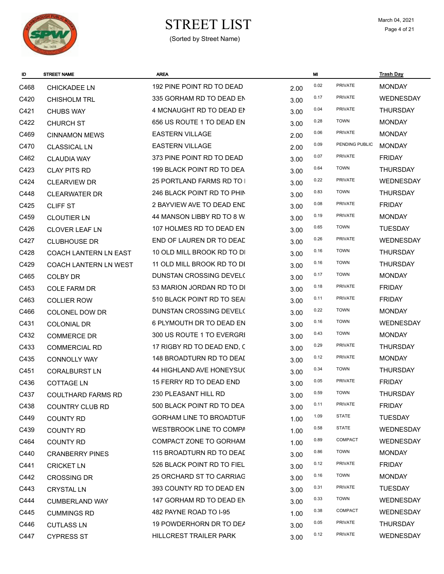

| ID   | <b>STREET NAME</b>           | <b>AREA</b>                    |      | MI   |                | <b>Trash Day</b> |
|------|------------------------------|--------------------------------|------|------|----------------|------------------|
| C468 | <b>CHICKADEE LN</b>          | 192 PINE POINT RD TO DEAD      | 2.00 | 0.02 | PRIVATE        | <b>MONDAY</b>    |
| C420 | <b>CHISHOLM TRL</b>          | 335 GORHAM RD TO DEAD EN       | 3.00 | 0.17 | <b>PRIVATE</b> | <b>WEDNESDAY</b> |
| C421 | <b>CHUBS WAY</b>             | 4 MCNAUGHT RD TO DEAD EN       | 3.00 | 0.04 | PRIVATE        | <b>THURSDAY</b>  |
| C422 | <b>CHURCH ST</b>             | 656 US ROUTE 1 TO DEAD EN      | 3.00 | 0.28 | <b>TOWN</b>    | <b>MONDAY</b>    |
| C469 | <b>CINNAMON MEWS</b>         | <b>EASTERN VILLAGE</b>         | 2.00 | 0.06 | PRIVATE        | <b>MONDAY</b>    |
| C470 | <b>CLASSICAL LN</b>          | <b>EASTERN VILLAGE</b>         | 2.00 | 0.09 | PENDING PUBLIC | <b>MONDAY</b>    |
| C462 | <b>CLAUDIA WAY</b>           | 373 PINE POINT RD TO DEAD      | 3.00 | 0.07 | <b>PRIVATE</b> | <b>FRIDAY</b>    |
| C423 | <b>CLAY PITS RD</b>          | 199 BLACK POINT RD TO DEA      | 3.00 | 0.64 | <b>TOWN</b>    | <b>THURSDAY</b>  |
| C424 | <b>CLEARVIEW DR</b>          | 25 PORTLAND FARMS RD TO I      | 3.00 | 0.22 | <b>PRIVATE</b> | <b>WEDNESDAY</b> |
| C448 | <b>CLEARWATER DR</b>         | 246 BLACK POINT RD TO PHIN     | 3.00 | 0.83 | <b>TOWN</b>    | <b>THURSDAY</b>  |
| C425 | <b>CLIFF ST</b>              | 2 BAYVIEW AVE TO DEAD END      | 3.00 | 0.08 | PRIVATE        | <b>FRIDAY</b>    |
| C459 | <b>CLOUTIER LN</b>           | 44 MANSON LIBBY RD TO 8 W.     | 3.00 | 0.19 | PRIVATE        | <b>MONDAY</b>    |
| C426 | <b>CLOVER LEAF LN</b>        | 107 HOLMES RD TO DEAD EN       | 3.00 | 0.65 | <b>TOWN</b>    | <b>TUESDAY</b>   |
| C427 | <b>CLUBHOUSE DR</b>          | END OF LAUREN DR TO DEAD       | 3.00 | 0.26 | <b>PRIVATE</b> | <b>WEDNESDAY</b> |
| C428 | <b>COACH LANTERN LN EAST</b> | 10 OLD MILL BROOK RD TO DI     | 3.00 | 0.16 | <b>TOWN</b>    | <b>THURSDAY</b>  |
| C429 | <b>COACH LANTERN LN WEST</b> | 11 OLD MILL BROOK RD TO DI     | 3.00 | 0.16 | <b>TOWN</b>    | <b>THURSDAY</b>  |
| C465 | <b>COLBY DR</b>              | DUNSTAN CROSSING DEVEL(        | 3.00 | 0.17 | <b>TOWN</b>    | <b>MONDAY</b>    |
| C453 | <b>COLE FARM DR</b>          | 53 MARION JORDAN RD TO DI      | 3.00 | 0.18 | <b>PRIVATE</b> | <b>FRIDAY</b>    |
| C463 | <b>COLLIER ROW</b>           | 510 BLACK POINT RD TO SEAI     | 3.00 | 0.11 | PRIVATE        | <b>FRIDAY</b>    |
| C466 | COLONEL DOW DR               | DUNSTAN CROSSING DEVEL(        | 3.00 | 0.22 | <b>TOWN</b>    | <b>MONDAY</b>    |
| C431 | <b>COLONIAL DR</b>           | 6 PLYMOUTH DR TO DEAD EN       | 3.00 | 0.16 | <b>TOWN</b>    | <b>WEDNESDAY</b> |
| C432 | <b>COMMERCE DR</b>           | 300 US ROUTE 1 TO EVERGRI      | 3.00 | 0.43 | <b>TOWN</b>    | <b>MONDAY</b>    |
| C433 | <b>COMMERCIAL RD</b>         | 17 RIGBY RD TO DEAD END, C     | 3.00 | 0.29 | <b>PRIVATE</b> | <b>THURSDAY</b>  |
| C435 | <b>CONNOLLY WAY</b>          | 148 BROADTURN RD TO DEAI       | 3.00 | 0.12 | <b>PRIVATE</b> | <b>MONDAY</b>    |
| C451 | <b>CORALBURST LN</b>         | 44 HIGHLAND AVE HONEYSU(       | 3.00 | 0.34 | <b>TOWN</b>    | <b>THURSDAY</b>  |
| C436 | <b>COTTAGE LN</b>            | 15 FERRY RD TO DEAD END        | 3.00 | 0.05 | <b>PRIVATE</b> | <b>FRIDAY</b>    |
| C437 | COULTHARD FARMS RD           | 230 PLEASANT HILL RD           | 3.00 | 0.59 | <b>TOWN</b>    | <b>THURSDAY</b>  |
| C438 | <b>COUNTRY CLUB RD</b>       | 500 BLACK POINT RD TO DEA      | 3.00 | 0.11 | PRIVATE        | <b>FRIDAY</b>    |
| C449 | <b>COUNTY RD</b>             | <b>GORHAM LINE TO BROADTUF</b> | 1.00 | 1.09 | <b>STATE</b>   | <b>TUESDAY</b>   |
| C439 | <b>COUNTY RD</b>             | WESTBROOK LINE TO COMPA        | 1.00 | 0.58 | <b>STATE</b>   | WEDNESDAY        |
| C464 | <b>COUNTY RD</b>             | COMPACT ZONE TO GORHAM         | 1.00 | 0.89 | <b>COMPACT</b> | <b>WEDNESDAY</b> |
| C440 | <b>CRANBERRY PINES</b>       | 115 BROADTURN RD TO DEAL       | 3.00 | 0.86 | <b>TOWN</b>    | <b>MONDAY</b>    |
| C441 | <b>CRICKET LN</b>            | 526 BLACK POINT RD TO FIEL     | 3.00 | 0.12 | <b>PRIVATE</b> | <b>FRIDAY</b>    |
| C442 | <b>CROSSING DR</b>           | 25 ORCHARD ST TO CARRIAG       | 3.00 | 0.16 | <b>TOWN</b>    | <b>MONDAY</b>    |
| C443 | <b>CRYSTAL LN</b>            | 393 COUNTY RD TO DEAD EN       | 3.00 | 0.31 | PRIVATE        | <b>TUESDAY</b>   |
| C444 | <b>CUMBERLAND WAY</b>        | 147 GORHAM RD TO DEAD EN       | 3.00 | 0.33 | <b>TOWN</b>    | WEDNESDAY        |
| C445 | <b>CUMMINGS RD</b>           | 482 PAYNE ROAD TO I-95         | 1.00 | 0.38 | COMPACT        | <b>WEDNESDAY</b> |
| C446 | <b>CUTLASS LN</b>            | 19 POWDERHORN DR TO DEA        | 3.00 | 0.05 | <b>PRIVATE</b> | <b>THURSDAY</b>  |
| C447 | <b>CYPRESS ST</b>            | HILLCREST TRAILER PARK         | 3.00 | 0.12 | <b>PRIVATE</b> | WEDNESDAY        |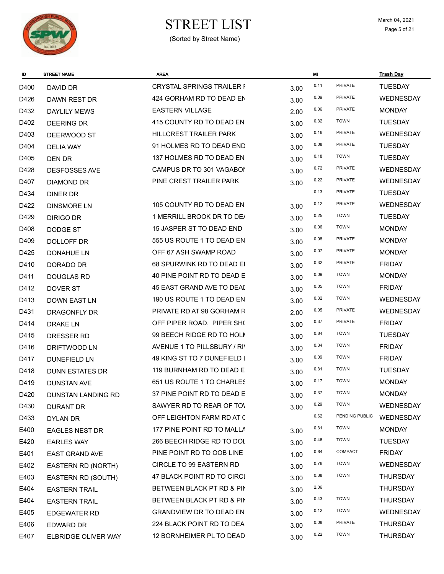

# $\begin{array}{ccc}\n\textbf{STREF LIST} & \textbf{March 04, 2021} \\
\textbf{Page 5 of 21}\n\end{array}$

| ID   | <b>STREET NAME</b>        | <b>AREA</b>                      |      | MI   |                | <b>Trash Day</b> |
|------|---------------------------|----------------------------------|------|------|----------------|------------------|
| D400 | DAVID DR                  | <b>CRYSTAL SPRINGS TRAILER I</b> | 3.00 | 0.11 | <b>PRIVATE</b> | <b>TUESDAY</b>   |
| D426 | DAWN REST DR              | 424 GORHAM RD TO DEAD EN         | 3.00 | 0.09 | <b>PRIVATE</b> | <b>WEDNESDAY</b> |
| D432 | <b>DAYLILY MEWS</b>       | <b>EASTERN VILLAGE</b>           | 2.00 | 0.06 | PRIVATE        | <b>MONDAY</b>    |
| D402 | <b>DEERING DR</b>         | 415 COUNTY RD TO DEAD EN         | 3.00 | 0.32 | <b>TOWN</b>    | <b>TUESDAY</b>   |
| D403 | DEERWOOD ST               | <b>HILLCREST TRAILER PARK</b>    | 3.00 | 0.16 | PRIVATE        | <b>WEDNESDAY</b> |
| D404 | DELIA WAY                 | 91 HOLMES RD TO DEAD END         | 3.00 | 0.08 | <b>PRIVATE</b> | <b>TUESDAY</b>   |
| D405 | DEN DR                    | 137 HOLMES RD TO DEAD EN         | 3.00 | 0.18 | <b>TOWN</b>    | <b>TUESDAY</b>   |
| D428 | <b>DESFOSSES AVE</b>      | CAMPUS DR TO 301 VAGABOI         | 3.00 | 0.72 | <b>PRIVATE</b> | <b>WEDNESDAY</b> |
| D407 | <b>DIAMOND DR</b>         | PINE CREST TRAILER PARK          | 3.00 | 0.22 | <b>PRIVATE</b> | WEDNESDAY        |
| D434 | <b>DINER DR</b>           |                                  |      | 0.13 | PRIVATE        | <b>TUESDAY</b>   |
| D422 | <b>DINSMORE LN</b>        | 105 COUNTY RD TO DEAD EN         | 3.00 | 0.12 | PRIVATE        | WEDNESDAY        |
| D429 | DIRIGO DR                 | 1 MERRILL BROOK DR TO DE/        | 3.00 | 0.25 | <b>TOWN</b>    | <b>TUESDAY</b>   |
| D408 | DODGE ST                  | 15 JASPER ST TO DEAD END         | 3.00 | 0.06 | <b>TOWN</b>    | <b>MONDAY</b>    |
| D409 | DOLLOFF DR                | 555 US ROUTE 1 TO DEAD EN        | 3.00 | 0.08 | <b>PRIVATE</b> | <b>MONDAY</b>    |
| D425 | <b>DONAHUE LN</b>         | OFF 67 ASH SWAMP ROAD            | 3.00 | 0.07 | <b>PRIVATE</b> | <b>MONDAY</b>    |
| D410 | DORADO DR                 | 68 SPURWINK RD TO DEAD EI        | 3.00 | 0.32 | <b>PRIVATE</b> | <b>FRIDAY</b>    |
| D411 | <b>DOUGLAS RD</b>         | 40 PINE POINT RD TO DEAD E       | 3.00 | 0.09 | <b>TOWN</b>    | <b>MONDAY</b>    |
| D412 | DOVER ST                  | 45 EAST GRAND AVE TO DEAI        | 3.00 | 0.05 | <b>TOWN</b>    | <b>FRIDAY</b>    |
| D413 | DOWN EAST LN              | 190 US ROUTE 1 TO DEAD EN        | 3.00 | 0.32 | <b>TOWN</b>    | <b>WEDNESDAY</b> |
| D431 | DRAGONFLY DR              | PRIVATE RD AT 98 GORHAM R        | 2.00 | 0.05 | <b>PRIVATE</b> | <b>WEDNESDAY</b> |
| D414 | DRAKE LN                  | OFF PIPER ROAD, PIPER SHO        | 3.00 | 0.37 | PRIVATE        | <b>FRIDAY</b>    |
| D415 | DRESSER RD                | 99 BEECH RIDGE RD TO HOLM        | 3.00 | 0.84 | <b>TOWN</b>    | <b>TUESDAY</b>   |
| D416 | <b>DRIFTWOOD LN</b>       | AVENUE 1 TO PILLSBURY / RIV      | 3.00 | 0.34 | <b>TOWN</b>    | <b>FRIDAY</b>    |
| D417 | <b>DUNEFIELD LN</b>       | 49 KING ST TO 7 DUNEFIELD I      | 3.00 | 0.09 | <b>TOWN</b>    | <b>FRIDAY</b>    |
| D418 | <b>DUNN ESTATES DR</b>    | 119 BURNHAM RD TO DEAD E         | 3.00 | 0.31 | <b>TOWN</b>    | <b>TUESDAY</b>   |
| D419 | <b>DUNSTAN AVE</b>        | 651 US ROUTE 1 TO CHARLES        | 3.00 | 0.17 | <b>TOWN</b>    | <b>MONDAY</b>    |
| D420 | <b>DUNSTAN LANDING RD</b> | 37 PINE POINT RD TO DEAD E       | 3.00 | 0.37 | <b>TOWN</b>    | <b>MONDAY</b>    |
| D430 | <b>DURANT DR</b>          | SAWYER RD TO REAR OF TO          | 3.00 | 0.29 | <b>TOWN</b>    | WEDNESDAY        |
| D433 | DYLAN DR                  | OFF LEIGHTON FARM RD AT C        |      | 0.62 | PENDING PUBLIC | WEDNESDAY        |
| E400 | <b>EAGLES NEST DR</b>     | 177 PINE POINT RD TO MALLA       | 3.00 | 0.31 | <b>TOWN</b>    | <b>MONDAY</b>    |
| E420 | <b>EARLES WAY</b>         | 266 BEECH RIDGE RD TO DOL        | 3.00 | 0.46 | <b>TOWN</b>    | <b>TUESDAY</b>   |
| E401 | <b>EAST GRAND AVE</b>     | PINE POINT RD TO OOB LINE        | 1.00 | 0.64 | COMPACT        | <b>FRIDAY</b>    |
| E402 | EASTERN RD (NORTH)        | <b>CIRCLE TO 99 EASTERN RD</b>   | 3.00 | 0.76 | <b>TOWN</b>    | <b>WEDNESDAY</b> |
| E403 | EASTERN RD (SOUTH)        | 47 BLACK POINT RD TO CIRCI       | 3.00 | 0.38 | <b>TOWN</b>    | <b>THURSDAY</b>  |
| E404 | <b>EASTERN TRAIL</b>      | BETWEEN BLACK PT RD & PIN        | 3.00 | 2.06 |                | <b>THURSDAY</b>  |
| E404 | <b>EASTERN TRAIL</b>      | BETWEEN BLACK PT RD & PIN        | 3.00 | 0.43 | <b>TOWN</b>    | <b>THURSDAY</b>  |
| E405 | <b>EDGEWATER RD</b>       | <b>GRANDVIEW DR TO DEAD EN</b>   | 3.00 | 0.12 | <b>TOWN</b>    | <b>WEDNESDAY</b> |
| E406 | EDWARD DR                 | 224 BLACK POINT RD TO DEA        | 3.00 | 0.08 | <b>PRIVATE</b> | <b>THURSDAY</b>  |
| E407 | ELBRIDGE OLIVER WAY       | 12 BORNHEIMER PL TO DEAD         | 3.00 | 0.22 | <b>TOWN</b>    | <b>THURSDAY</b>  |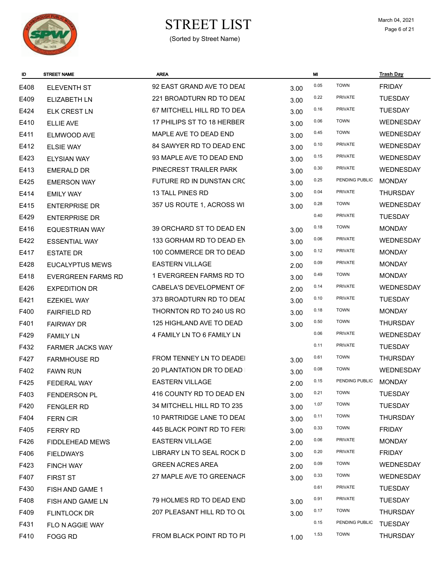

# $\begin{array}{ccc}\n\textbf{STREF LIST} & \textbf{March 04, 2021} \\
\textbf{Page 6 of 21}\n\end{array}$

| ID   | <b>STREET NAME</b>      | <b>AREA</b>                |      | MI   |                | <b>Trash Day</b> |
|------|-------------------------|----------------------------|------|------|----------------|------------------|
| E408 | <b>ELEVENTH ST</b>      | 92 EAST GRAND AVE TO DEAI  | 3.00 | 0.05 | <b>TOWN</b>    | <b>FRIDAY</b>    |
| E409 | <b>ELIZABETH LN</b>     | 221 BROADTURN RD TO DEAI   | 3.00 | 0.22 | <b>PRIVATE</b> | <b>TUESDAY</b>   |
| E424 | <b>ELK CREST LN</b>     | 67 MITCHELL HILL RD TO DEA | 3.00 | 0.16 | <b>PRIVATE</b> | <b>TUESDAY</b>   |
| E410 | <b>ELLIE AVE</b>        | 17 PHILIPS ST TO 18 HERBER | 3.00 | 0.06 | <b>TOWN</b>    | WEDNESDAY        |
| E411 | ELMWOOD AVE             | MAPLE AVE TO DEAD END      | 3.00 | 0.45 | <b>TOWN</b>    | WEDNESDAY        |
| E412 | <b>ELSIE WAY</b>        | 84 SAWYER RD TO DEAD END   | 3.00 | 0.10 | <b>PRIVATE</b> | <b>WEDNESDAY</b> |
| E423 | <b>ELYSIAN WAY</b>      | 93 MAPLE AVE TO DEAD END   | 3.00 | 0.15 | <b>PRIVATE</b> | <b>WEDNESDAY</b> |
| E413 | <b>EMERALD DR</b>       | PINECREST TRAILER PARK     | 3.00 | 0.30 | <b>PRIVATE</b> | WEDNESDAY        |
| E425 | <b>EMERSON WAY</b>      | FUTURE RD IN DUNSTAN CRC   | 3.00 | 0.25 | PENDING PUBLIC | <b>MONDAY</b>    |
| E414 | <b>EMILY WAY</b>        | 13 TALL PINES RD           | 3.00 | 0.04 | <b>PRIVATE</b> | <b>THURSDAY</b>  |
| E415 | <b>ENTERPRISE DR</b>    | 357 US ROUTE 1, ACROSS WI  | 3.00 | 0.28 | <b>TOWN</b>    | WEDNESDAY        |
| E429 | <b>ENTERPRISE DR</b>    |                            |      | 0.40 | <b>PRIVATE</b> | <b>TUESDAY</b>   |
| E416 | <b>EQUESTRIAN WAY</b>   | 39 ORCHARD ST TO DEAD EN   | 3.00 | 0.18 | <b>TOWN</b>    | <b>MONDAY</b>    |
| E422 | <b>ESSENTIAL WAY</b>    | 133 GORHAM RD TO DEAD EN   | 3.00 | 0.06 | <b>PRIVATE</b> | <b>WEDNESDAY</b> |
| E417 | <b>ESTATE DR</b>        | 100 COMMERCE DR TO DEAD    | 3.00 | 0.12 | <b>PRIVATE</b> | <b>MONDAY</b>    |
| E428 | <b>EUCALYPTUS MEWS</b>  | <b>EASTERN VILLAGE</b>     | 2.00 | 0.09 | <b>PRIVATE</b> | <b>MONDAY</b>    |
| E418 | EVERGREEN FARMS RD      | 1 EVERGREEN FARMS RD TO    | 3.00 | 0.49 | <b>TOWN</b>    | <b>MONDAY</b>    |
| E426 | <b>EXPEDITION DR</b>    | CABELA'S DEVELOPMENT OF    | 2.00 | 0.14 | <b>PRIVATE</b> | WEDNESDAY        |
| E421 | EZEKIEL WAY             | 373 BROADTURN RD TO DEAI   | 3.00 | 0.10 | <b>PRIVATE</b> | <b>TUESDAY</b>   |
| F400 | <b>FAIRFIELD RD</b>     | THORNTON RD TO 240 US RO   | 3.00 | 0.18 | <b>TOWN</b>    | <b>MONDAY</b>    |
| F401 | <b>FAIRWAY DR</b>       | 125 HIGHLAND AVE TO DEAD   | 3.00 | 0.50 | <b>TOWN</b>    | <b>THURSDAY</b>  |
| F429 | <b>FAMILY LN</b>        | 4 FAMILY LN TO 6 FAMILY LN |      | 0.06 | <b>PRIVATE</b> | <b>WEDNESDAY</b> |
| F432 | <b>FARMER JACKS WAY</b> |                            |      | 0.11 | <b>PRIVATE</b> | <b>TUESDAY</b>   |
| F427 | <b>FARMHOUSE RD</b>     | FROM TENNEY LN TO DEADEI   | 3.00 | 0.61 | <b>TOWN</b>    | <b>THURSDAY</b>  |
| F402 | <b>FAWN RUN</b>         | 20 PLANTATION DR TO DEAD   | 3.00 | 0.08 | <b>TOWN</b>    | WEDNESDAY        |
| F425 | FEDERAL WAY             | <b>EASTERN VILLAGE</b>     | 2.00 | 0.15 | PENDING PUBLIC | <b>MONDAY</b>    |
| F403 | FENDERSON PL            | 416 COUNTY RD TO DEAD EN   | 3.00 | 0.21 | <b>TOWN</b>    | <b>TUESDAY</b>   |
| F420 | <b>FENGLER RD</b>       | 34 MITCHELL HILL RD TO 235 | 3.00 | 1.07 | <b>TOWN</b>    | <b>TUESDAY</b>   |
| F404 | <b>FERN CIR</b>         | 10 PARTRIDGE LANE TO DEAI  | 3.00 | 0.11 | <b>TOWN</b>    | <b>THURSDAY</b>  |
| F405 | <b>FERRY RD</b>         | 445 BLACK POINT RD TO FERI | 3.00 | 0.33 | <b>TOWN</b>    | <b>FRIDAY</b>    |
| F426 | FIDDLEHEAD MEWS         | <b>EASTERN VILLAGE</b>     | 2.00 | 0.06 | PRIVATE        | <b>MONDAY</b>    |
| F406 | <b>FIELDWAYS</b>        | LIBRARY LN TO SEAL ROCK D  | 3.00 | 0.20 | <b>PRIVATE</b> | <b>FRIDAY</b>    |
| F423 | <b>FINCH WAY</b>        | <b>GREEN ACRES AREA</b>    | 2.00 | 0.09 | <b>TOWN</b>    | WEDNESDAY        |
| F407 | <b>FIRST ST</b>         | 27 MAPLE AVE TO GREENACF   | 3.00 | 0.33 | <b>TOWN</b>    | WEDNESDAY        |
| F430 | FISH AND GAME 1         |                            |      | 0.61 | PRIVATE        | <b>TUESDAY</b>   |
| F408 | FISH AND GAME LN        | 79 HOLMES RD TO DEAD END   | 3.00 | 0.91 | PRIVATE        | <b>TUESDAY</b>   |
| F409 | <b>FLINTLOCK DR</b>     | 207 PLEASANT HILL RD TO OL | 3.00 | 0.17 | <b>TOWN</b>    | <b>THURSDAY</b>  |
| F431 | FLO N AGGIE WAY         |                            |      | 0.15 | PENDING PUBLIC | <b>TUESDAY</b>   |
| F410 | FOGG RD                 | FROM BLACK POINT RD TO PI  | 1.00 | 1.53 | <b>TOWN</b>    | <b>THURSDAY</b>  |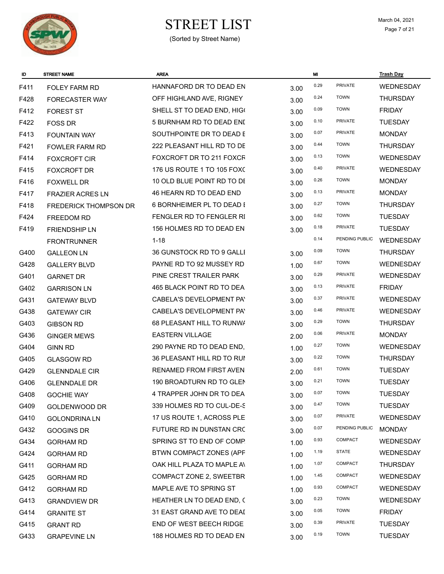

# $\begin{array}{cc}\n\textbf{STREF LIST} \\
\textcolor{red}{\text{March 04, 2021}} \\
\textcolor{red}{\text{Page 7 of 21}}\n\end{array}$

| ID   | <b>STREET NAME</b>           | <b>AREA</b>                    |      | MI   |                | <b>Trash Day</b> |
|------|------------------------------|--------------------------------|------|------|----------------|------------------|
| F411 | <b>FOLEY FARM RD</b>         | HANNAFORD DR TO DEAD EN        | 3.00 | 0.29 | PRIVATE        | WEDNESDAY        |
| F428 | FORECASTER WAY               | OFF HIGHLAND AVE, RIGNEY       | 3.00 | 0.24 | <b>TOWN</b>    | <b>THURSDAY</b>  |
| F412 | <b>FOREST ST</b>             | SHELL ST TO DEAD END, HIG(     | 3.00 | 0.09 | <b>TOWN</b>    | <b>FRIDAY</b>    |
| F422 | <b>FOSS DR</b>               | 5 BURNHAM RD TO DEAD ENI       | 3.00 | 0.10 | <b>PRIVATE</b> | <b>TUESDAY</b>   |
| F413 | <b>FOUNTAIN WAY</b>          | SOUTHPOINTE DR TO DEAD E       | 3.00 | 0.07 | <b>PRIVATE</b> | <b>MONDAY</b>    |
| F421 | <b>FOWLER FARM RD</b>        | 222 PLEASANT HILL RD TO DE     | 3.00 | 0.44 | <b>TOWN</b>    | <b>THURSDAY</b>  |
| F414 | <b>FOXCROFT CIR</b>          | FOXCROFT DR TO 211 FOXCR       | 3.00 | 0.13 | <b>TOWN</b>    | WEDNESDAY        |
| F415 | <b>FOXCROFT DR</b>           | 176 US ROUTE 1 TO 105 FOXC     | 3.00 | 0.40 | <b>PRIVATE</b> | <b>WEDNESDAY</b> |
| F416 | <b>FOXWELL DR</b>            | 10 OLD BLUE POINT RD TO DI     | 3.00 | 0.26 | <b>TOWN</b>    | <b>MONDAY</b>    |
| F417 | <b>FRAZIER ACRES LN</b>      | 46 HEARN RD TO DEAD END        | 3.00 | 0.13 | <b>PRIVATE</b> | <b>MONDAY</b>    |
| F418 | <b>FREDERICK THOMPSON DR</b> | 6 BORNHEIMER PL TO DEAD I      | 3.00 | 0.27 | <b>TOWN</b>    | <b>THURSDAY</b>  |
| F424 | FREEDOM RD                   | FENGLER RD TO FENGLER RI       | 3.00 | 0.62 | <b>TOWN</b>    | <b>TUESDAY</b>   |
| F419 | <b>FRIENDSHIP LN</b>         | 156 HOLMES RD TO DEAD EN       | 3.00 | 0.18 | <b>PRIVATE</b> | <b>TUESDAY</b>   |
|      | <b>FRONTRUNNER</b>           | $1 - 18$                       |      | 0.14 | PENDING PUBLIC | WEDNESDAY        |
| G400 | <b>GALLEON LN</b>            | 36 GUNSTOCK RD TO 9 GALLI      | 3.00 | 0.09 | <b>TOWN</b>    | <b>THURSDAY</b>  |
| G428 | <b>GALLERY BLVD</b>          | PAYNE RD TO 92 MUSSEY RD       | 1.00 | 0.67 | <b>TOWN</b>    | <b>WEDNESDAY</b> |
| G401 | <b>GARNET DR</b>             | PINE CREST TRAILER PARK        | 3.00 | 0.29 | PRIVATE        | <b>WEDNESDAY</b> |
| G402 | <b>GARRISON LN</b>           | 465 BLACK POINT RD TO DEA      | 3.00 | 0.13 | <b>PRIVATE</b> | <b>FRIDAY</b>    |
| G431 | <b>GATEWAY BLVD</b>          | CABELA'S DEVELOPMENT PAY       | 3.00 | 0.37 | <b>PRIVATE</b> | <b>WEDNESDAY</b> |
| G438 | <b>GATEWAY CIR</b>           | CABELA'S DEVELOPMENT PA'       | 3.00 | 0.46 | <b>PRIVATE</b> | <b>WEDNESDAY</b> |
| G403 | <b>GIBSON RD</b>             | 68 PLEASANT HILL TO RUNWA      | 3.00 | 0.29 | <b>TOWN</b>    | <b>THURSDAY</b>  |
| G436 | <b>GINGER MEWS</b>           | <b>EASTERN VILLAGE</b>         | 2.00 | 0.06 | <b>PRIVATE</b> | <b>MONDAY</b>    |
| G404 | <b>GINN RD</b>               | 290 PAYNE RD TO DEAD END,      | 1.00 | 0.27 | <b>TOWN</b>    | WEDNESDAY        |
| G405 | <b>GLASGOW RD</b>            | 36 PLEASANT HILL RD TO RUI     | 3.00 | 0.22 | <b>TOWN</b>    | <b>THURSDAY</b>  |
| G429 | <b>GLENNDALE CIR</b>         | <b>RENAMED FROM FIRST AVEN</b> | 2.00 | 0.61 | <b>TOWN</b>    | <b>TUESDAY</b>   |
| G406 | <b>GLENNDALE DR</b>          | 190 BROADTURN RD TO GLEN       | 3.00 | 0.21 | <b>TOWN</b>    | <b>TUESDAY</b>   |
| G408 | <b>GOCHIE WAY</b>            | 4 TRAPPER JOHN DR TO DEA       | 3.00 | 0.07 | <b>TOWN</b>    | <b>TUESDAY</b>   |
| G409 | GOLDENWOOD DR                | 339 HOLMES RD TO CUL-DE-S      | 3.00 | 0.47 | <b>TOWN</b>    | <b>TUESDAY</b>   |
| G410 | <b>GOLONDRINA LN</b>         | 17 US ROUTE 1, ACROSS PLE      | 3.00 | 0.07 | <b>PRIVATE</b> | WEDNESDAY        |
| G432 | GOOGINS DR                   | FUTURE RD IN DUNSTAN CRC       | 3.00 | 0.07 | PENDING PUBLIC | <b>MONDAY</b>    |
| G434 | <b>GORHAM RD</b>             | SPRING ST TO END OF COMP.      | 1.00 | 0.93 | COMPACT        | WEDNESDAY        |
| G424 | <b>GORHAM RD</b>             | BTWN COMPACT ZONES (APF        | 1.00 | 1.19 | <b>STATE</b>   | WEDNESDAY        |
| G411 | <b>GORHAM RD</b>             | OAK HILL PLAZA TO MAPLE AN     | 1.00 | 1.07 | COMPACT        | <b>THURSDAY</b>  |
| G425 | <b>GORHAM RD</b>             | COMPACT ZONE 2, SWEETBR        | 1.00 | 1.45 | COMPACT        | WEDNESDAY        |
| G412 | <b>GORHAM RD</b>             | MAPLE AVE TO SPRING ST         | 1.00 | 0.93 | COMPACT        | WEDNESDAY        |
| G413 | <b>GRANDVIEW DR</b>          | HEATHER LN TO DEAD END, C      | 3.00 | 0.23 | <b>TOWN</b>    | WEDNESDAY        |
| G414 | <b>GRANITE ST</b>            | 31 EAST GRAND AVE TO DEAI      | 3.00 | 0.05 | <b>TOWN</b>    | <b>FRIDAY</b>    |
| G415 | <b>GRANT RD</b>              | END OF WEST BEECH RIDGE        | 3.00 | 0.39 | <b>PRIVATE</b> | <b>TUESDAY</b>   |
| G433 | <b>GRAPEVINE LN</b>          | 188 HOLMES RD TO DEAD EN       | 3.00 | 0.19 | <b>TOWN</b>    | <b>TUESDAY</b>   |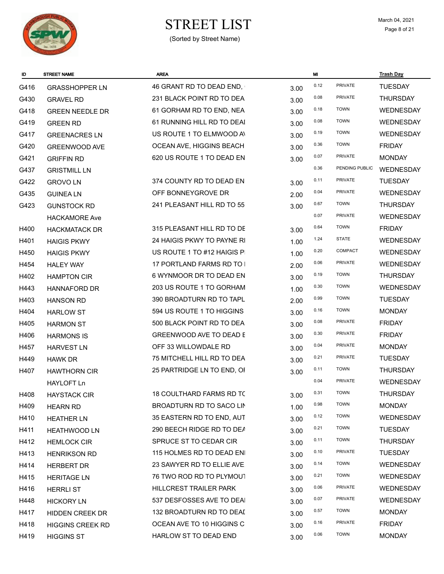

# $\begin{array}{ccc}\n\textbf{STREF LIST} & \textbf{March 04, 2021} \\
\textbf{Page 8 of 21}\n\end{array}$

| ID   | <b>STREET NAME</b>      | <b>AREA</b>                    |      | MI   |                | <b>Trash Day</b> |
|------|-------------------------|--------------------------------|------|------|----------------|------------------|
| G416 | <b>GRASSHOPPER LN</b>   | 46 GRANT RD TO DEAD END,       | 3.00 | 0.12 | <b>PRIVATE</b> | <b>TUESDAY</b>   |
| G430 | <b>GRAVEL RD</b>        | 231 BLACK POINT RD TO DEA      | 3.00 | 0.08 | <b>PRIVATE</b> | <b>THURSDAY</b>  |
| G418 | <b>GREEN NEEDLE DR</b>  | 61 GORHAM RD TO END, NEA       | 3.00 | 0.18 | <b>TOWN</b>    | <b>WEDNESDAY</b> |
| G419 | <b>GREEN RD</b>         | 61 RUNNING HILL RD TO DEAI     | 3.00 | 0.08 | <b>TOWN</b>    | <b>WEDNESDAY</b> |
| G417 | <b>GREENACRES LN</b>    | US ROUTE 1 TO ELMWOOD AV       | 3.00 | 0.19 | <b>TOWN</b>    | <b>WEDNESDAY</b> |
| G420 | GREENWOOD AVE           | OCEAN AVE, HIGGINS BEACH       | 3.00 | 0.36 | <b>TOWN</b>    | <b>FRIDAY</b>    |
| G421 | <b>GRIFFIN RD</b>       | 620 US ROUTE 1 TO DEAD EN      | 3.00 | 0.07 | PRIVATE        | <b>MONDAY</b>    |
| G437 | <b>GRISTMILL LN</b>     |                                |      | 0.36 | PENDING PUBLIC | WEDNESDAY        |
| G422 | <b>GROVOLN</b>          | 374 COUNTY RD TO DEAD EN       | 3.00 | 0.11 | PRIVATE        | <b>TUESDAY</b>   |
| G435 | <b>GUINEA LN</b>        | OFF BONNEYGROVE DR             | 2.00 | 0.04 | PRIVATE        | <b>WEDNESDAY</b> |
| G423 | <b>GUNSTOCK RD</b>      | 241 PLEASANT HILL RD TO 55     | 3.00 | 0.67 | <b>TOWN</b>    | <b>THURSDAY</b>  |
|      | <b>HACKAMORE Ave</b>    |                                |      | 0.07 | PRIVATE        | <b>WEDNESDAY</b> |
| H400 | <b>HACKMATACK DR</b>    | 315 PLEASANT HILL RD TO DE     | 3.00 | 0.64 | <b>TOWN</b>    | <b>FRIDAY</b>    |
| H401 | <b>HAIGIS PKWY</b>      | 24 HAIGIS PKWY TO PAYNE RI     | 1.00 | 1.24 | <b>STATE</b>   | <b>WEDNESDAY</b> |
| H450 | <b>HAIGIS PKWY</b>      | US ROUTE 1 TO #12 HAIGIS PI    | 1.00 | 0.20 | COMPACT        | WEDNESDAY        |
| H454 | <b>HALEY WAY</b>        | 17 PORTLAND FARMS RD TO I      | 2.00 | 0.06 | <b>PRIVATE</b> | <b>WEDNESDAY</b> |
| H402 | <b>HAMPTON CIR</b>      | 6 WYNMOOR DR TO DEAD EN        | 3.00 | 0.19 | <b>TOWN</b>    | <b>THURSDAY</b>  |
| H443 | <b>HANNAFORD DR</b>     | 203 US ROUTE 1 TO GORHAM       | 1.00 | 0.30 | <b>TOWN</b>    | <b>WEDNESDAY</b> |
| H403 | <b>HANSON RD</b>        | 390 BROADTURN RD TO TAPL       | 2.00 | 0.99 | <b>TOWN</b>    | <b>TUESDAY</b>   |
| H404 | <b>HARLOW ST</b>        | 594 US ROUTE 1 TO HIGGINS      | 3.00 | 0.16 | <b>TOWN</b>    | <b>MONDAY</b>    |
| H405 | <b>HARMON ST</b>        | 500 BLACK POINT RD TO DEA      | 3.00 | 0.08 | PRIVATE        | <b>FRIDAY</b>    |
| H406 | <b>HARMONS IS</b>       | <b>GREENWOOD AVE TO DEAD E</b> | 3.00 | 0.30 | PRIVATE        | <b>FRIDAY</b>    |
| H457 | <b>HARVEST LN</b>       | OFF 33 WILLOWDALE RD           | 3.00 | 0.04 | PRIVATE        | <b>MONDAY</b>    |
| H449 | <b>HAWK DR</b>          | 75 MITCHELL HILL RD TO DEA     | 3.00 | 0.21 | PRIVATE        | <b>TUESDAY</b>   |
| H407 | <b>HAWTHORN CIR</b>     | 25 PARTRIDGE LN TO END, OI     | 3.00 | 0.11 | <b>TOWN</b>    | <b>THURSDAY</b>  |
|      | <b>HAYLOFT Ln</b>       |                                |      | 0.04 | PRIVATE        | WEDNESDAY        |
| H408 | <b>HAYSTACK CIR</b>     | 18 COULTHARD FARMS RD TC       | 3.00 | 0.31 | <b>TOWN</b>    | <b>THURSDAY</b>  |
| H409 | <b>HEARN RD</b>         | BROADTURN RD TO SACO LIN       | 1.00 | 0.98 | <b>TOWN</b>    | <b>MONDAY</b>    |
| H410 | <b>HEATHER LN</b>       | 35 EASTERN RD TO END, AUT      | 3.00 | 0.12 | <b>TOWN</b>    | <b>WEDNESDAY</b> |
| H411 | <b>HEATHWOOD LN</b>     | 290 BEECH RIDGE RD TO DEA      | 3.00 | 0.21 | <b>TOWN</b>    | <b>TUESDAY</b>   |
| H412 | <b>HEMLOCK CIR</b>      | SPRUCE ST TO CEDAR CIR         | 3.00 | 0.11 | <b>TOWN</b>    | <b>THURSDAY</b>  |
| H413 | <b>HENRIKSON RD</b>     | 115 HOLMES RD TO DEAD ENI      | 3.00 | 0.10 | <b>PRIVATE</b> | <b>TUESDAY</b>   |
| H414 | <b>HERBERT DR</b>       | 23 SAWYER RD TO ELLIE AVE.     | 3.00 | 0.14 | <b>TOWN</b>    | WEDNESDAY        |
| H415 | <b>HERITAGE LN</b>      | 76 TWO ROD RD TO PLYMOUT       | 3.00 | 0.21 | <b>TOWN</b>    | WEDNESDAY        |
| H416 | <b>HERRLIST</b>         | HILLCREST TRAILER PARK         | 3.00 | 0.06 | <b>PRIVATE</b> | WEDNESDAY        |
| H448 | <b>HICKORY LN</b>       | 537 DESFOSSES AVE TO DEAI      | 3.00 | 0.07 | PRIVATE        | <b>WEDNESDAY</b> |
| H417 | HIDDEN CREEK DR         | 132 BROADTURN RD TO DEAI       | 3.00 | 0.57 | <b>TOWN</b>    | <b>MONDAY</b>    |
| H418 | <b>HIGGINS CREEK RD</b> | OCEAN AVE TO 10 HIGGINS C      | 3.00 | 0.16 | PRIVATE        | <b>FRIDAY</b>    |
| H419 | <b>HIGGINS ST</b>       | HARLOW ST TO DEAD END          | 3.00 | 0.06 | <b>TOWN</b>    | <b>MONDAY</b>    |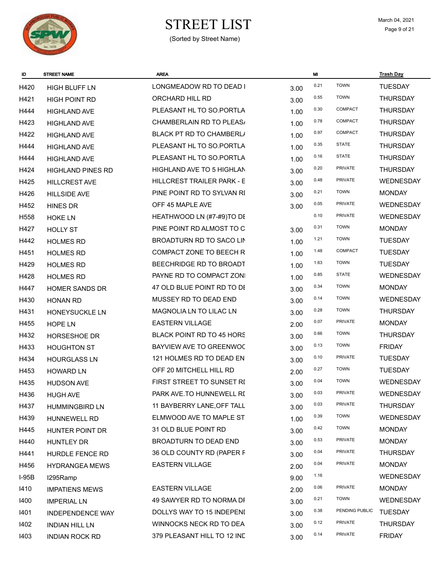

# $\begin{array}{ccc}\n\textbf{STREF LIST} & \textbf{March 04, 2021} \\
\textbf{Page 9 of 21}\n\end{array}$

| ID      | <b>STREET NAME</b>       | <b>AREA</b>                       |      | MI   |                | <b>Trash Day</b> |
|---------|--------------------------|-----------------------------------|------|------|----------------|------------------|
| H420    | HIGH BLUFF LN            | LONGMEADOW RD TO DEAD I           | 3.00 | 0.21 | <b>TOWN</b>    | <b>TUESDAY</b>   |
| H421    | <b>HIGH POINT RD</b>     | ORCHARD HILL RD                   | 3.00 | 0.55 | <b>TOWN</b>    | <b>THURSDAY</b>  |
| H444    | <b>HIGHLAND AVE</b>      | PLEASANT HL TO SO.PORTLA          | 1.00 | 0.30 | COMPACT        | <b>THURSDAY</b>  |
| H423    | <b>HIGHLAND AVE</b>      | CHAMBERLAIN RD TO PLEAS/          | 1.00 | 0.78 | COMPACT        | <b>THURSDAY</b>  |
| H422    | <b>HIGHLAND AVE</b>      | BLACK PT RD TO CHAMBERL/          | 1.00 | 0.97 | COMPACT        | <b>THURSDAY</b>  |
| H444    | <b>HIGHLAND AVE</b>      | PLEASANT HL TO SO.PORTLA          | 1.00 | 0.35 | <b>STATE</b>   | <b>THURSDAY</b>  |
| H444    | <b>HIGHLAND AVE</b>      | PLEASANT HL TO SO.PORTLA          | 1.00 | 0.16 | <b>STATE</b>   | <b>THURSDAY</b>  |
| H424    | <b>HIGHLAND PINES RD</b> | HIGHLAND AVE TO 5 HIGHLAN         | 3.00 | 0.20 | PRIVATE        | <b>THURSDAY</b>  |
| H425    | <b>HILLCREST AVE</b>     | <b>HILLCREST TRAILER PARK - E</b> | 3.00 | 0.48 | PRIVATE        | <b>WEDNESDAY</b> |
| H426    | <b>HILLSIDE AVE</b>      | PINE POINT RD TO SYLVAN RI        | 3.00 | 0.21 | <b>TOWN</b>    | <b>MONDAY</b>    |
| H452    | <b>HINES DR</b>          | OFF 45 MAPLE AVE                  | 3.00 | 0.05 | PRIVATE        | WEDNESDAY        |
| H558    | <b>HOKE LN</b>           | HEATHWOOD LN (#7-#9)TO DE         |      | 0.10 | PRIVATE        | <b>WEDNESDAY</b> |
| H427    | <b>HOLLY ST</b>          | PINE POINT RD ALMOST TO C         | 3.00 | 0.31 | <b>TOWN</b>    | <b>MONDAY</b>    |
| H442    | <b>HOLMES RD</b>         | BROADTURN RD TO SACO LIN          | 1.00 | 1.21 | <b>TOWN</b>    | <b>TUESDAY</b>   |
| H451    | <b>HOLMES RD</b>         | COMPACT ZONE TO BEECH R           | 1.00 | 1.48 | COMPACT        | <b>TUESDAY</b>   |
| H429    | <b>HOLMES RD</b>         | BEECHRIDGE RD TO BROADT           | 1.00 | 1.63 | <b>TOWN</b>    | <b>TUESDAY</b>   |
| H428    | <b>HOLMES RD</b>         | PAYNE RD TO COMPACT ZONI          | 1.00 | 0.85 | <b>STATE</b>   | WEDNESDAY        |
| H447    | <b>HOMER SANDS DR</b>    | 47 OLD BLUE POINT RD TO DE        | 3.00 | 0.34 | <b>TOWN</b>    | <b>MONDAY</b>    |
| H430    | <b>HONAN RD</b>          | MUSSEY RD TO DEAD END             | 3.00 | 0.14 | <b>TOWN</b>    | WEDNESDAY        |
| H431    | HONEYSUCKLE LN           | MAGNOLIA LN TO LILAC LN           | 3.00 | 0.28 | <b>TOWN</b>    | <b>THURSDAY</b>  |
| H455    | <b>HOPE LN</b>           | <b>EASTERN VILLAGE</b>            | 2.00 | 0.07 | PRIVATE        | <b>MONDAY</b>    |
| H432    | <b>HORSESHOE DR</b>      | <b>BLACK POINT RD TO 45 HORS</b>  | 3.00 | 0.66 | <b>TOWN</b>    | <b>THURSDAY</b>  |
| H433    | <b>HOUGHTON ST</b>       | BAYVIEW AVE TO GREENWOC           | 3.00 | 0.13 | <b>TOWN</b>    | <b>FRIDAY</b>    |
| H434    | <b>HOURGLASS LN</b>      | 121 HOLMES RD TO DEAD EN          | 3.00 | 0.10 | <b>PRIVATE</b> | <b>TUESDAY</b>   |
| H453    | <b>HOWARD LN</b>         | OFF 20 MITCHELL HILL RD           | 2.00 | 0.27 | <b>TOWN</b>    | <b>TUESDAY</b>   |
| H435    | <b>HUDSON AVE</b>        | FIRST STREET TO SUNSET RI         | 3.00 | 0.04 | <b>TOWN</b>    | WEDNESDAY        |
| H436    | <b>HUGH AVE</b>          | PARK AVE. TO HUNNEWELL RI         | 3.00 | 0.03 | <b>PRIVATE</b> | <b>WEDNESDAY</b> |
| H437    | <b>HUMMINGBIRD LN</b>    | 11 BAYBERRY LANE, OFF TALL        | 3.00 | 0.03 | PRIVATE        | <b>THURSDAY</b>  |
| H439    | <b>HUNNEWELL RD</b>      | ELMWOOD AVE TO MAPLE ST           | 1.00 | 0.39 | <b>TOWN</b>    | <b>WEDNESDAY</b> |
| H445    | HUNTER POINT DR          | 31 OLD BLUE POINT RD              | 3.00 | 0.42 | <b>TOWN</b>    | <b>MONDAY</b>    |
| H440    | HUNTLEY DR               | BROADTURN TO DEAD END             | 3.00 | 0.53 | PRIVATE        | <b>MONDAY</b>    |
| H441    | HURDLE FENCE RD          | 36 OLD COUNTY RD (PAPER F         | 3.00 | 0.04 | <b>PRIVATE</b> | <b>THURSDAY</b>  |
| H456    | <b>HYDRANGEA MEWS</b>    | <b>EASTERN VILLAGE</b>            | 2.00 | 0.04 | <b>PRIVATE</b> | <b>MONDAY</b>    |
| $I-95B$ | I295Ramp                 |                                   | 9.00 | 1.16 |                | WEDNESDAY        |
| 1410    | <b>IMPATIENS MEWS</b>    | <b>EASTERN VILLAGE</b>            | 2.00 | 0.06 | PRIVATE        | <b>MONDAY</b>    |
| 1400    | <b>IMPERIAL LN</b>       | 49 SAWYER RD TO NORMA DF          | 3.00 | 0.21 | <b>TOWN</b>    | WEDNESDAY        |
| 1401    | <b>INDEPENDENCE WAY</b>  | DOLLYS WAY TO 15 INDEPENI         | 3.00 | 0.38 | PENDING PUBLIC | <b>TUESDAY</b>   |
| 1402    | <b>INDIAN HILL LN</b>    | WINNOCKS NECK RD TO DEA           | 3.00 | 0.12 | PRIVATE        | <b>THURSDAY</b>  |
| 1403    | <b>INDIAN ROCK RD</b>    | 379 PLEASANT HILL TO 12 IND       | 3.00 | 0.14 | PRIVATE        | <b>FRIDAY</b>    |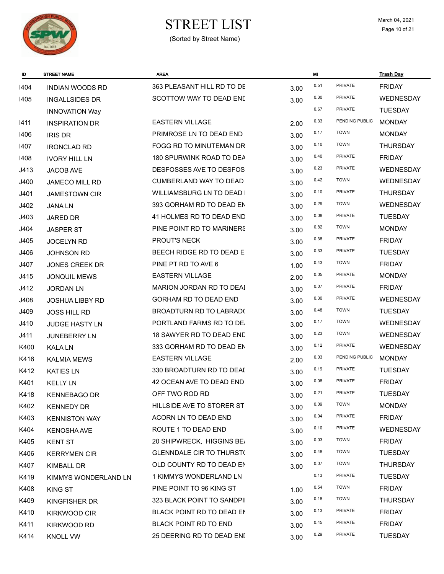

# $\begin{array}{ccc}\n\textbf{STREF LIST} & \textbf{March 04, 2021} \\
\textbf{Page 10 of 21}\n\end{array}$

| ID   | STREET NAME            | <b>AREA</b>                     |      | MI   |                | <b>Trash Day</b> |
|------|------------------------|---------------------------------|------|------|----------------|------------------|
| 1404 | <b>INDIAN WOODS RD</b> | 363 PLEASANT HILL RD TO DE      | 3.00 | 0.51 | PRIVATE        | <b>FRIDAY</b>    |
| 1405 | <b>INGALLSIDES DR</b>  | SCOTTOW WAY TO DEAD END         | 3.00 | 0.30 | PRIVATE        | <b>WEDNESDAY</b> |
|      | <b>INNOVATION Way</b>  |                                 |      | 0.67 | <b>PRIVATE</b> | <b>TUESDAY</b>   |
| 1411 | <b>INSPIRATION DR</b>  | <b>EASTERN VILLAGE</b>          | 2.00 | 0.33 | PENDING PUBLIC | <b>MONDAY</b>    |
| 1406 | <b>IRIS DR</b>         | PRIMROSE LN TO DEAD END         | 3.00 | 0.17 | <b>TOWN</b>    | <b>MONDAY</b>    |
| 1407 | <b>IRONCLAD RD</b>     | FOGG RD TO MINUTEMAN DR         | 3.00 | 0.10 | <b>TOWN</b>    | <b>THURSDAY</b>  |
| 1408 | <b>IVORY HILL LN</b>   | 180 SPURWINK ROAD TO DEA        | 3.00 | 0.40 | <b>PRIVATE</b> | <b>FRIDAY</b>    |
| J413 | JACOB AVE              | DESFOSSES AVE TO DESFOS         | 3.00 | 0.23 | PRIVATE        | WEDNESDAY        |
| J400 | JAMECO MILL RD         | <b>CUMBERLAND WAY TO DEAD</b>   | 3.00 | 0.42 | <b>TOWN</b>    | WEDNESDAY        |
| J401 | <b>JAMESTOWN CIR</b>   | WILLIAMSBURG LN TO DEAD I       | 3.00 | 0.10 | <b>PRIVATE</b> | <b>THURSDAY</b>  |
| J402 | <b>JANALN</b>          | 393 GORHAM RD TO DEAD EN        | 3.00 | 0.29 | <b>TOWN</b>    | WEDNESDAY        |
| J403 | JARED DR               | 41 HOLMES RD TO DEAD END        | 3.00 | 0.08 | <b>PRIVATE</b> | <b>TUESDAY</b>   |
| J404 | <b>JASPER ST</b>       | PINE POINT RD TO MARINERS       | 3.00 | 0.82 | <b>TOWN</b>    | <b>MONDAY</b>    |
| J405 | <b>JOCELYN RD</b>      | PROUT'S NECK                    | 3.00 | 0.38 | <b>PRIVATE</b> | <b>FRIDAY</b>    |
| J406 | <b>JOHNSON RD</b>      | BEECH RIDGE RD TO DEAD E        | 3.00 | 0.33 | PRIVATE        | <b>TUESDAY</b>   |
| J407 | <b>JONES CREEK DR</b>  | PINE PT RD TO AVE 6             | 1.00 | 0.43 | <b>TOWN</b>    | <b>FRIDAY</b>    |
| J415 | <b>JONQUIL MEWS</b>    | <b>EASTERN VILLAGE</b>          | 2.00 | 0.05 | PRIVATE        | <b>MONDAY</b>    |
| J412 | <b>JORDAN LN</b>       | MARION JORDAN RD TO DEAI        | 3.00 | 0.07 | <b>PRIVATE</b> | <b>FRIDAY</b>    |
| J408 | <b>JOSHUA LIBBY RD</b> | <b>GORHAM RD TO DEAD END</b>    | 3.00 | 0.30 | PRIVATE        | <b>WEDNESDAY</b> |
| J409 | <b>JOSS HILL RD</b>    | BROADTURN RD TO LABRAD(         | 3.00 | 0.48 | <b>TOWN</b>    | <b>TUESDAY</b>   |
| J410 | JUDGE HASTY LN         | PORTLAND FARMS RD TO DE.        | 3.00 | 0.17 | <b>TOWN</b>    | <b>WEDNESDAY</b> |
| J411 | <b>JUNEBERRY LN</b>    | 18 SAWYER RD TO DEAD END        | 3.00 | 0.23 | <b>TOWN</b>    | WEDNESDAY        |
| K400 | <b>KALA LN</b>         | 333 GORHAM RD TO DEAD EN        | 3.00 | 0.12 | PRIVATE        | WEDNESDAY        |
| K416 | <b>KALMIA MEWS</b>     | <b>EASTERN VILLAGE</b>          | 2.00 | 0.03 | PENDING PUBLIC | <b>MONDAY</b>    |
| K412 | <b>KATIES LN</b>       | 330 BROADTURN RD TO DEAI        | 3.00 | 0.19 | <b>PRIVATE</b> | <b>TUESDAY</b>   |
| K401 | <b>KELLY LN</b>        | 42 OCEAN AVE TO DEAD END        | 3.00 | 0.08 | <b>PRIVATE</b> | <b>FRIDAY</b>    |
| K418 | <b>KENNEBAGO DR</b>    | OFF TWO ROD RD                  | 3.00 | 0.21 | PRIVATE        | <b>TUESDAY</b>   |
| K402 | <b>KENNEDY DR</b>      | HILLSIDE AVE TO STORER ST       | 3.00 | 0.09 | <b>TOWN</b>    | <b>MONDAY</b>    |
| K403 | <b>KENNISTON WAY</b>   | ACORN LN TO DEAD END            | 3.00 | 0.04 | PRIVATE        | <b>FRIDAY</b>    |
| K404 | <b>KENOSHA AVE</b>     | ROUTE 1 TO DEAD END             | 3.00 | 0.10 | <b>PRIVATE</b> | <b>WEDNESDAY</b> |
| K405 | <b>KENT ST</b>         | 20 SHIPWRECK, HIGGINS BE/       | 3.00 | 0.03 | <b>TOWN</b>    | <b>FRIDAY</b>    |
| K406 | <b>KERRYMEN CIR</b>    | <b>GLENNDALE CIR TO THURST(</b> | 3.00 | 0.48 | <b>TOWN</b>    | <b>TUESDAY</b>   |
| K407 | KIMBALL DR             | OLD COUNTY RD TO DEAD EN        | 3.00 | 0.07 | <b>TOWN</b>    | <b>THURSDAY</b>  |
| K419 | KIMMYS WONDERLAND LN   | 1 KIMMYS WONDERLAND LN          |      | 0.13 | PRIVATE        | <b>TUESDAY</b>   |
| K408 | KING ST                | PINE POINT TO 96 KING ST        | 1.00 | 0.54 | <b>TOWN</b>    | <b>FRIDAY</b>    |
| K409 | KINGFISHER DR          | 323 BLACK POINT TO SANDPII      | 3.00 | 0.18 | <b>TOWN</b>    | <b>THURSDAY</b>  |
| K410 | <b>KIRKWOOD CIR</b>    | BLACK POINT RD TO DEAD EN       | 3.00 | 0.13 | <b>PRIVATE</b> | <b>FRIDAY</b>    |
| K411 | KIRKWOOD RD            | <b>BLACK POINT RD TO END</b>    | 3.00 | 0.45 | <b>PRIVATE</b> | <b>FRIDAY</b>    |
| K414 | <b>KNOLL VW</b>        | 25 DEERING RD TO DEAD ENI       | 3.00 | 0.29 | PRIVATE        | <b>TUESDAY</b>   |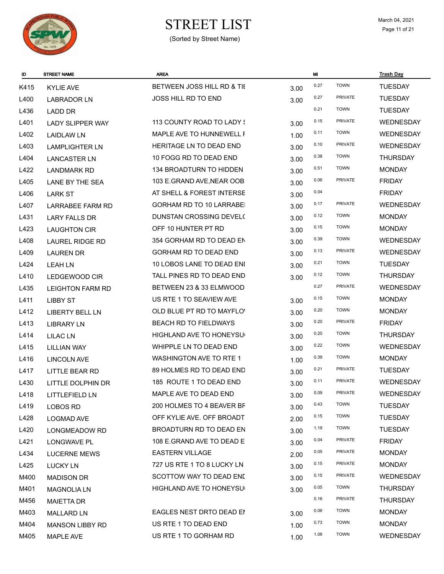

(Sorted by Street Name)

| ID.  | <b>STREET NAME</b>      | <b>AREA</b>                     |      | MI   |                | <b>Trash Day</b> |
|------|-------------------------|---------------------------------|------|------|----------------|------------------|
| K415 | <b>KYLIE AVE</b>        | BETWEEN JOSS HILL RD & TII      | 3.00 | 0.27 | <b>TOWN</b>    | <b>TUESDAY</b>   |
| L400 | LABRADOR LN             | <b>JOSS HILL RD TO END</b>      | 3.00 | 0.27 | <b>PRIVATE</b> | <b>TUESDAY</b>   |
| L436 | <b>LADD DR</b>          |                                 |      | 0.21 | <b>TOWN</b>    | <b>TUESDAY</b>   |
| L401 | <b>LADY SLIPPER WAY</b> | 113 COUNTY ROAD TO LADY \$      | 3.00 | 0.15 | <b>PRIVATE</b> | WEDNESDAY        |
| L402 | <b>LAIDLAW LN</b>       | MAPLE AVE TO HUNNEWELL F        | 1.00 | 0.11 | <b>TOWN</b>    | WEDNESDAY        |
| L403 | <b>LAMPLIGHTER LN</b>   | HERITAGE LN TO DEAD END         | 3.00 | 0.10 | PRIVATE        | WEDNESDAY        |
| L404 | <b>LANCASTER LN</b>     | 10 FOGG RD TO DEAD END          | 3.00 | 0.38 | <b>TOWN</b>    | <b>THURSDAY</b>  |
| L422 | <b>LANDMARK RD</b>      | 134 BROADTURN TO HIDDEN         | 3.00 | 0.51 | <b>TOWN</b>    | <b>MONDAY</b>    |
| L405 | <b>LANE BY THE SEA</b>  | 103 E.GRAND AVE, NEAR OOB       | 3.00 | 0.06 | PRIVATE        | <b>FRIDAY</b>    |
| L406 | <b>LARK ST</b>          | AT SHELL & FOREST INTERSE       | 3.00 | 0.04 |                | <b>FRIDAY</b>    |
| L407 | <b>LARRABEE FARM RD</b> | <b>GORHAM RD TO 10 LARRABEL</b> | 3.00 | 0.17 | <b>PRIVATE</b> | <b>WEDNESDAY</b> |
| L431 | <b>LARY FALLS DR</b>    | DUNSTAN CROSSING DEVEL(         | 3.00 | 0.12 | <b>TOWN</b>    | <b>MONDAY</b>    |
| L423 | <b>LAUGHTON CIR</b>     | OFF 10 HUNTER PT RD             | 3.00 | 0.15 | <b>TOWN</b>    | <b>MONDAY</b>    |
| L408 | <b>LAUREL RIDGE RD</b>  | 354 GORHAM RD TO DEAD EN        | 3.00 | 0.39 | <b>TOWN</b>    | <b>WEDNESDAY</b> |
| L409 | <b>LAUREN DR</b>        | GORHAM RD TO DEAD END           | 3.00 | 0.13 | PRIVATE        | WEDNESDAY        |
| L424 | <b>LEAHLN</b>           | 10 LOBOS LANE TO DEAD ENI       | 3.00 | 0.21 | <b>TOWN</b>    | <b>TUESDAY</b>   |
| L410 | LEDGEWOOD CIR           | TALL PINES RD TO DEAD END       | 3.00 | 0.12 | <b>TOWN</b>    | <b>THURSDAY</b>  |
| L435 | <b>LEIGHTON FARM RD</b> | BETWEEN 23 & 33 ELMWOOD         |      | 0.27 | <b>PRIVATE</b> | <b>WEDNESDAY</b> |
| L411 | <b>LIBBY ST</b>         | US RTE 1 TO SEAVIEW AVE         | 3.00 | 0.15 | <b>TOWN</b>    | <b>MONDAY</b>    |
| L412 | <b>LIBERTY BELL LN</b>  | OLD BLUE PT RD TO MAYFLO'       | 3.00 | 0.20 | <b>TOWN</b>    | <b>MONDAY</b>    |
| L413 | <b>LIBRARY LN</b>       | <b>BEACH RD TO FIELDWAYS</b>    | 3.00 | 0.20 | <b>PRIVATE</b> | <b>FRIDAY</b>    |
| L414 | <b>LILAC LN</b>         | HIGHLAND AVE TO HONEYSU         | 3.00 | 0.20 | <b>TOWN</b>    | <b>THURSDAY</b>  |
| L415 | <b>LILLIAN WAY</b>      | WHIPPLE LN TO DEAD END          | 3.00 | 0.22 | <b>TOWN</b>    | WEDNESDAY        |
| L416 | <b>LINCOLN AVE</b>      | <b>WASHINGTON AVE TO RTE 1</b>  | 1.00 | 0.39 | <b>TOWN</b>    | <b>MONDAY</b>    |
| L417 | <b>LITTLE BEAR RD</b>   | 89 HOLMES RD TO DEAD END        | 3.00 | 0.21 | <b>PRIVATE</b> | <b>TUESDAY</b>   |
| L430 | LITTLE DOLPHIN DR       | 185 ROUTE 1 TO DEAD END         | 3.00 | 0.11 | <b>PRIVATE</b> | WEDNESDAY        |
| L418 | <b>LITTLEFIELD LN</b>   | MAPLE AVE TO DEAD END           | 3.00 | 0.09 | <b>PRIVATE</b> | WEDNESDAY        |
| L419 | <b>LOBOS RD</b>         | 200 HOLMES TO 4 BEAVER BF       | 3.00 | 0.43 | <b>TOWN</b>    | <b>TUESDAY</b>   |
| L428 | <b>LOGMAD AVE</b>       | OFF KYLIE AVE. OFF BROADT       | 2.00 | 0.15 | <b>TOWN</b>    | <b>TUESDAY</b>   |
| L420 | <b>LONGMEADOW RD</b>    | BROADTURN RD TO DEAD EN         | 3.00 | 1.19 | <b>TOWN</b>    | <b>TUESDAY</b>   |
| L421 | LONGWAVE PL             | 108 E.GRAND AVE TO DEAD E       | 3.00 | 0.04 | <b>PRIVATE</b> | <b>FRIDAY</b>    |
| L434 | <b>LUCERNE MEWS</b>     | <b>EASTERN VILLAGE</b>          | 2.00 | 0.05 | <b>PRIVATE</b> | <b>MONDAY</b>    |
| L425 | <b>LUCKY LN</b>         | 727 US RTE 1 TO 8 LUCKY LN      | 3.00 | 0.15 | PRIVATE        | <b>MONDAY</b>    |
| M400 | <b>MADISON DR</b>       | SCOTTOW WAY TO DEAD END         | 3.00 | 0.15 | <b>PRIVATE</b> | WEDNESDAY        |
| M401 | <b>MAGNOLIA LN</b>      | HIGHLAND AVE TO HONEYSU         | 3.00 | 0.05 | <b>TOWN</b>    | <b>THURSDAY</b>  |
| M456 | <b>MAIETTA DR</b>       |                                 |      | 0.16 | <b>PRIVATE</b> | <b>THURSDAY</b>  |
| M403 | <b>MALLARD LN</b>       | EAGLES NEST DRTO DEAD EN        | 3.00 | 0.06 | <b>TOWN</b>    | <b>MONDAY</b>    |
| M404 | <b>MANSON LIBBY RD</b>  | US RTE 1 TO DEAD END            | 1.00 | 0.73 | <b>TOWN</b>    | <b>MONDAY</b>    |
| M405 | <b>MAPLE AVE</b>        | US RTE 1 TO GORHAM RD           | 1.00 | 1.08 | <b>TOWN</b>    | WEDNESDAY        |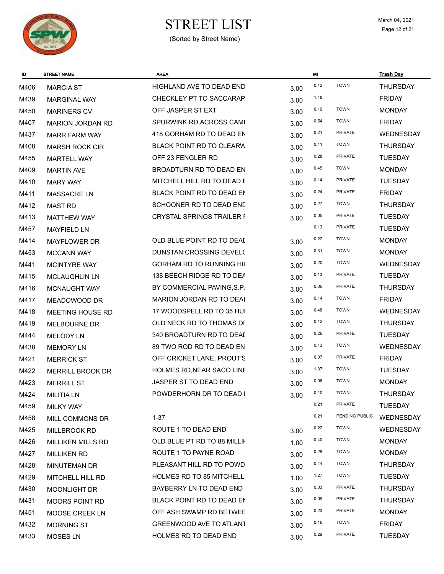

# $\begin{array}{ccc}\n\textbf{STREF LIST} & \textbf{March 04, 2021} \\
\textbf{Page 12 of 21}\n\end{array}$

| ID   | <b>STREET NAME</b>       | <b>AREA</b>                     |      | MI   |                | <b>Trash Day</b> |
|------|--------------------------|---------------------------------|------|------|----------------|------------------|
| M406 | <b>MARCIA ST</b>         | HIGHLAND AVE TO DEAD END        | 3.00 | 0.12 | <b>TOWN</b>    | <b>THURSDAY</b>  |
| M439 | <b>MARGINAL WAY</b>      | CHECKLEY PT TO SACCARAP.        | 3.00 | 1.18 |                | <b>FRIDAY</b>    |
| M450 | <b>MARINERS CV</b>       | OFF JASPER ST EXT               | 3.00 | 0.19 | <b>TOWN</b>    | <b>MONDAY</b>    |
| M407 | <b>MARION JORDAN RD</b>  | SPURWINK RD, ACROSS CAMI        | 3.00 | 0.54 | <b>TOWN</b>    | <b>FRIDAY</b>    |
| M437 | <b>MARR FARM WAY</b>     | 418 GORHAM RD TO DEAD EN        | 3.00 | 0.21 | <b>PRIVATE</b> | <b>WEDNESDAY</b> |
| M408 | <b>MARSH ROCK CIR</b>    | <b>BLACK POINT RD TO CLEARW</b> | 3.00 | 0.11 | <b>TOWN</b>    | <b>THURSDAY</b>  |
| M455 | <b>MARTELL WAY</b>       | OFF 23 FENGLER RD               | 3.00 | 0.28 | <b>PRIVATE</b> | <b>TUESDAY</b>   |
| M409 | <b>MARTIN AVE</b>        | BROADTURN RD TO DEAD EN         | 3.00 | 0.45 | <b>TOWN</b>    | <b>MONDAY</b>    |
| M410 | <b>MARY WAY</b>          | MITCHELL HILL RD TO DEAD E      | 3.00 | 0.14 | PRIVATE        | <b>TUESDAY</b>   |
| M411 | <b>MASSACRE LN</b>       | BLACK POINT RD TO DEAD EN       | 3.00 | 0.24 | <b>PRIVATE</b> | <b>FRIDAY</b>    |
| M412 | <b>MAST RD</b>           | SCHOONER RD TO DEAD END         | 3.00 | 0.27 | <b>TOWN</b>    | <b>THURSDAY</b>  |
| M413 | <b>MATTHEW WAY</b>       | CRYSTAL SPRINGS TRAILER I       | 3.00 | 0.05 | <b>PRIVATE</b> | <b>TUESDAY</b>   |
| M457 | <b>MAYFIELD LN</b>       |                                 |      | 0.13 | <b>PRIVATE</b> | <b>TUESDAY</b>   |
| M414 | <b>MAYFLOWER DR</b>      | OLD BLUE POINT RD TO DEAI       | 3.00 | 0.22 | <b>TOWN</b>    | <b>MONDAY</b>    |
| M453 | <b>MCCANN WAY</b>        | DUNSTAN CROSSING DEVEL(         | 3.00 | 0.31 | <b>TOWN</b>    | <b>MONDAY</b>    |
| M441 | <b>MCINTYRE WAY</b>      | <b>GORHAM RD TO RUNNING HIL</b> | 3.00 | 0.20 | <b>TOWN</b>    | <b>WEDNESDAY</b> |
| M415 | <b>MCLAUGHLIN LN</b>     | 138 BEECH RIDGE RD TO DEA       | 3.00 | 0.13 | PRIVATE        | <b>TUESDAY</b>   |
| M416 | <b>MCNAUGHT WAY</b>      | BY COMMERCIAL PAVING, S.P.      | 3.00 | 0.06 | <b>PRIVATE</b> | <b>THURSDAY</b>  |
| M417 | MEADOWOOD DR             | MARION JORDAN RD TO DEAI        | 3.00 | 0.14 | <b>TOWN</b>    | <b>FRIDAY</b>    |
| M418 | MEETING HOUSE RD         | 17 WOODSPELL RD TO 35 HUI       | 3.00 | 0.48 | <b>TOWN</b>    | <b>WEDNESDAY</b> |
| M419 | MELBOURNE DR             | OLD NECK RD TO THOMAS DF        | 3.00 | 0.12 | <b>TOWN</b>    | <b>THURSDAY</b>  |
| M444 | <b>MELODY LN</b>         | 340 BROADTURN RD TO DEAI        | 3.00 | 0.26 | <b>PRIVATE</b> | <b>TUESDAY</b>   |
| M438 | <b>MEMORY LN</b>         | 89 TWO ROD RD TO DEAD EN        | 3.00 | 0.13 | <b>TOWN</b>    | <b>WEDNESDAY</b> |
| M421 | <b>MERRICK ST</b>        | OFF CRICKET LANE, PROUT'S       | 3.00 | 0.07 | <b>PRIVATE</b> | <b>FRIDAY</b>    |
| M422 | MERRILL BROOK DR         | HOLMES RD, NEAR SACO LINE       | 3.00 | 1.37 | <b>TOWN</b>    | <b>TUESDAY</b>   |
| M423 | <b>MERRILL ST</b>        | JASPER ST TO DEAD END           | 3.00 | 0.06 | <b>TOWN</b>    | <b>MONDAY</b>    |
| M424 | <b>MILITIALN</b>         | POWDERHORN DR TO DEAD I         | 3.00 | 0.10 | <b>TOWN</b>    | THURSDAY         |
| M459 | <b>MILKY WAY</b>         |                                 |      | 0.21 | PRIVATE        | <b>TUESDAY</b>   |
| M458 | MILL COMMONS DR          | $1 - 37$                        |      | 0.21 | PENDING PUBLIC | WEDNESDAY        |
| M425 | <b>MILLBROOK RD</b>      | ROUTE 1 TO DEAD END             | 3.00 | 0.22 | <b>TOWN</b>    | <b>WEDNESDAY</b> |
| M426 | <b>MILLIKEN MILLS RD</b> | OLD BLUE PT RD TO 88 MILLII     | 1.00 | 0.40 | <b>TOWN</b>    | <b>MONDAY</b>    |
| M427 | <b>MILLIKEN RD</b>       | ROUTE 1 TO PAYNE ROAD           | 3.00 | 0.28 | <b>TOWN</b>    | <b>MONDAY</b>    |
| M428 | <b>MINUTEMAN DR</b>      | PLEASANT HILL RD TO POWD        | 3.00 | 0.44 | <b>TOWN</b>    | <b>THURSDAY</b>  |
| M429 | MITCHELL HILL RD         | <b>HOLMES RD TO 85 MITCHELL</b> | 1.00 | 1.27 | <b>TOWN</b>    | <b>TUESDAY</b>   |
| M430 | MOONLIGHT DR             | BAYBERRY LN TO DEAD END         | 3.00 | 0.03 | <b>PRIVATE</b> | <b>THURSDAY</b>  |
| M431 | <b>MOORS POINT RD</b>    | BLACK POINT RD TO DEAD EN       | 3.00 | 0.09 | <b>PRIVATE</b> | <b>THURSDAY</b>  |
| M451 | <b>MOOSE CREEK LN</b>    | OFF ASH SWAMP RD BETWEE         | 3.00 | 0.23 | <b>PRIVATE</b> | <b>MONDAY</b>    |
| M432 | <b>MORNING ST</b>        | <b>GREENWOOD AVE TO ATLANT</b>  | 3.00 | 0.16 | <b>TOWN</b>    | <b>FRIDAY</b>    |
| M433 | <b>MOSES LN</b>          | HOLMES RD TO DEAD END           | 3.00 | 0.29 | <b>PRIVATE</b> | <b>TUESDAY</b>   |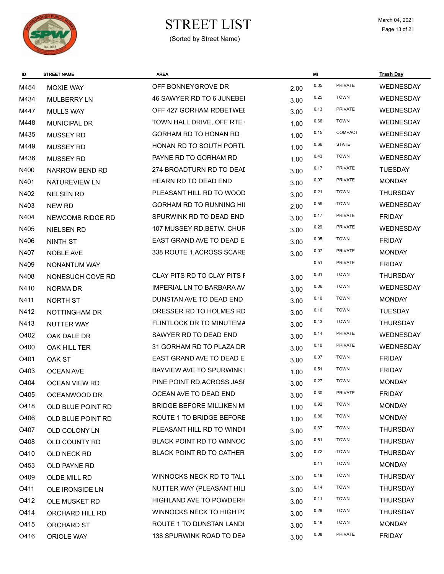

| ID   | <b>STREET NAME</b>   | <b>AREA</b>                      |      | MI   |                | <b>Trash Day</b> |
|------|----------------------|----------------------------------|------|------|----------------|------------------|
| M454 | <b>MOXIE WAY</b>     | OFF BONNEYGROVE DR               | 2.00 | 0.05 | <b>PRIVATE</b> | <b>WEDNESDAY</b> |
| M434 | <b>MULBERRY LN</b>   | 46 SAWYER RD TO 6 JUNEBEI        | 3.00 | 0.25 | <b>TOWN</b>    | <b>WEDNESDAY</b> |
| M447 | <b>MULLS WAY</b>     | OFF 427 GORHAM RDBETWEI          | 3.00 | 0.13 | PRIVATE        | <b>WEDNESDAY</b> |
| M448 | <b>MUNICIPAL DR</b>  | TOWN HALL DRIVE, OFF RTE         | 1.00 | 0.66 | <b>TOWN</b>    | <b>WEDNESDAY</b> |
| M435 | <b>MUSSEY RD</b>     | GORHAM RD TO HONAN RD            | 1.00 | 0.15 | <b>COMPACT</b> | <b>WEDNESDAY</b> |
| M449 | <b>MUSSEY RD</b>     | HONAN RD TO SOUTH PORTL          | 1.00 | 0.66 | <b>STATE</b>   | <b>WEDNESDAY</b> |
| M436 | <b>MUSSEY RD</b>     | PAYNE RD TO GORHAM RD            | 1.00 | 0.43 | <b>TOWN</b>    | <b>WEDNESDAY</b> |
| N400 | NARROW BEND RD       | 274 BROADTURN RD TO DEAI         | 3.00 | 0.17 | PRIVATE        | <b>TUESDAY</b>   |
| N401 | NATUREVIEW LN        | HEARN RD TO DEAD END             | 3.00 | 0.07 | <b>PRIVATE</b> | <b>MONDAY</b>    |
| N402 | <b>NELSEN RD</b>     | PLEASANT HILL RD TO WOOD         | 3.00 | 0.21 | <b>TOWN</b>    | <b>THURSDAY</b>  |
| N403 | NEW RD               | <b>GORHAM RD TO RUNNING HIL</b>  | 2.00 | 0.59 | <b>TOWN</b>    | <b>WEDNESDAY</b> |
| N404 | NEWCOMB RIDGE RD     | SPURWINK RD TO DEAD END          | 3.00 | 0.17 | PRIVATE        | <b>FRIDAY</b>    |
| N405 | <b>NIELSEN RD</b>    | 107 MUSSEY RD, BETW. CHUF        | 3.00 | 0.29 | <b>PRIVATE</b> | <b>WEDNESDAY</b> |
| N406 | NINTH ST             | EAST GRAND AVE TO DEAD E         | 3.00 | 0.05 | <b>TOWN</b>    | <b>FRIDAY</b>    |
| N407 | <b>NOBLE AVE</b>     | 338 ROUTE 1, ACROSS SCARE        | 3.00 | 0.07 | <b>PRIVATE</b> | <b>MONDAY</b>    |
| N409 | NONANTUM WAY         |                                  |      | 0.51 | <b>PRIVATE</b> | <b>FRIDAY</b>    |
| N408 | NONESUCH COVE RD     | CLAY PITS RD TO CLAY PITS F      | 3.00 | 0.31 | <b>TOWN</b>    | <b>THURSDAY</b>  |
| N410 | <b>NORMA DR</b>      | <b>IMPERIAL LN TO BARBARA AV</b> | 3.00 | 0.06 | <b>TOWN</b>    | <b>WEDNESDAY</b> |
| N411 | NORTH ST             | DUNSTAN AVE TO DEAD END          | 3.00 | 0.10 | <b>TOWN</b>    | <b>MONDAY</b>    |
| N412 | NOTTINGHAM DR        | DRESSER RD TO HOLMES RD          | 3.00 | 0.16 | <b>TOWN</b>    | <b>TUESDAY</b>   |
| N413 | NUTTER WAY           | FLINTLOCK DR TO MINUTEMA         | 3.00 | 0.43 | <b>TOWN</b>    | <b>THURSDAY</b>  |
| O402 | OAK DALE DR          | SAWYER RD TO DEAD END            | 3.00 | 0.14 | <b>PRIVATE</b> | <b>WEDNESDAY</b> |
| O400 | OAK HILL TER         | 31 GORHAM RD TO PLAZA DR         | 3.00 | 0.10 | <b>PRIVATE</b> | WEDNESDAY        |
| O401 | OAK ST               | EAST GRAND AVE TO DEAD E         | 3.00 | 0.07 | <b>TOWN</b>    | <b>FRIDAY</b>    |
| O403 | <b>OCEAN AVE</b>     | BAYVIEW AVE TO SPURWINK I        | 1.00 | 0.51 | <b>TOWN</b>    | <b>FRIDAY</b>    |
| O404 | <b>OCEAN VIEW RD</b> | PINE POINT RD, ACROSS JASI       | 3.00 | 0.27 | <b>TOWN</b>    | <b>MONDAY</b>    |
| O405 | OCEANWOOD DR         | OCEAN AVE TO DEAD END            | 3.00 | 0.30 | <b>PRIVATE</b> | <b>FRIDAY</b>    |
| O418 | OLD BLUE POINT RD    | <b>BRIDGE BEFORE MILLIKEN MI</b> | 1.00 | 0.92 | <b>TOWN</b>    | <b>MONDAY</b>    |
| O406 | OLD BLUE POINT RD    | ROUTE 1 TO BRIDGE BEFORE         | 1.00 | 0.86 | <b>TOWN</b>    | <b>MONDAY</b>    |
| O407 | OLD COLONY LN        | PLEASANT HILL RD TO WINDII       | 3.00 | 0.37 | <b>TOWN</b>    | <b>THURSDAY</b>  |
| O408 | OLD COUNTY RD        | BLACK POINT RD TO WINNOC         | 3.00 | 0.51 | <b>TOWN</b>    | <b>THURSDAY</b>  |
| O410 | OLD NECK RD          | BLACK POINT RD TO CATHER         | 3.00 | 0.72 | <b>TOWN</b>    | <b>THURSDAY</b>  |
| O453 | OLD PAYNE RD         |                                  |      | 0.11 | <b>TOWN</b>    | <b>MONDAY</b>    |
| O409 | OLDE MILL RD         | WINNOCKS NECK RD TO TALL         | 3.00 | 0.18 | <b>TOWN</b>    | <b>THURSDAY</b>  |
| O411 | OLE IRONSIDE LN      | NUTTER WAY (PLEASANT HILI        | 3.00 | 0.14 | <b>TOWN</b>    | <b>THURSDAY</b>  |
| O412 | OLE MUSKET RD        | HIGHLAND AVE TO POWDERH          | 3.00 | 0.11 | <b>TOWN</b>    | <b>THURSDAY</b>  |
| O414 | ORCHARD HILL RD      | WINNOCKS NECK TO HIGH P(         | 3.00 | 0.29 | <b>TOWN</b>    | <b>THURSDAY</b>  |
| O415 | ORCHARD ST           | ROUTE 1 TO DUNSTAN LANDI         | 3.00 | 0.48 | <b>TOWN</b>    | <b>MONDAY</b>    |
| O416 | ORIOLE WAY           | 138 SPURWINK ROAD TO DEA         | 3.00 | 0.08 | <b>PRIVATE</b> | <b>FRIDAY</b>    |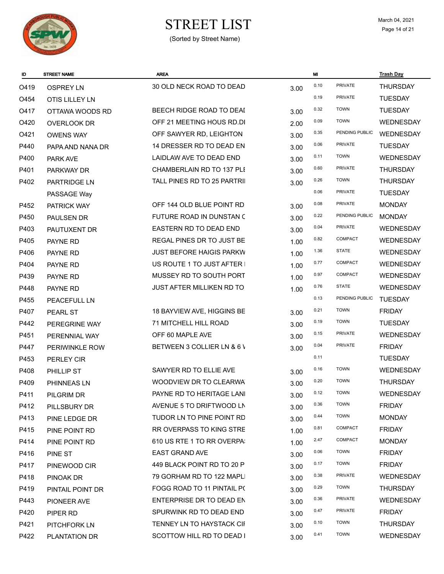

# $\begin{array}{ccc}\n\textbf{STREF LIST} & \textbf{March 04, 2021} \\
\textbf{Page 14 of 21}\n\end{array}$

| ID   | <b>STREET NAME</b>  | <b>AREA</b>                      |      | MI   |                | <b>Trash Day</b> |
|------|---------------------|----------------------------------|------|------|----------------|------------------|
| O419 | <b>OSPREY LN</b>    | 30 OLD NECK ROAD TO DEAD         | 3.00 | 0.10 | <b>PRIVATE</b> | <b>THURSDAY</b>  |
| O454 | OTIS LILLEY LN      |                                  |      | 0.19 | PRIVATE        | <b>TUESDAY</b>   |
| O417 | OTTAWA WOODS RD     | BEECH RIDGE ROAD TO DEAI         | 3.00 | 0.32 | <b>TOWN</b>    | <b>TUESDAY</b>   |
| O420 | <b>OVERLOOK DR</b>  | OFF 21 MEETING HOUS RD.DI        | 2.00 | 0.09 | <b>TOWN</b>    | <b>WEDNESDAY</b> |
| O421 | <b>OWENS WAY</b>    | OFF SAWYER RD, LEIGHTON          | 3.00 | 0.35 | PENDING PUBLIC | WEDNESDAY        |
| P440 | PAPA AND NANA DR    | 14 DRESSER RD TO DEAD EN         | 3.00 | 0.06 | <b>PRIVATE</b> | <b>TUESDAY</b>   |
| P400 | <b>PARK AVE</b>     | LAIDLAW AVE TO DEAD END          | 3.00 | 0.11 | <b>TOWN</b>    | <b>WEDNESDAY</b> |
| P401 | PARKWAY DR          | CHAMBERLAIN RD TO 137 PLI        | 3.00 | 0.60 | <b>PRIVATE</b> | <b>THURSDAY</b>  |
| P402 | PARTRIDGE LN        | TALL PINES RD TO 25 PARTRII      | 3.00 | 0.26 | <b>TOWN</b>    | <b>THURSDAY</b>  |
|      | PASSAGE Way         |                                  |      | 0.06 | PRIVATE        | <b>TUESDAY</b>   |
| P452 | PATRICK WAY         | OFF 144 OLD BLUE POINT RD        | 3.00 | 0.08 | <b>PRIVATE</b> | <b>MONDAY</b>    |
| P450 | <b>PAULSEN DR</b>   | FUTURE ROAD IN DUNSTAN C         | 3.00 | 0.22 | PENDING PUBLIC | <b>MONDAY</b>    |
| P403 | PAUTUXENT DR        | EASTERN RD TO DEAD END           | 3.00 | 0.04 | <b>PRIVATE</b> | <b>WEDNESDAY</b> |
| P405 | PAYNE RD            | REGAL PINES DR TO JUST BE        | 1.00 | 0.82 | COMPACT        | <b>WEDNESDAY</b> |
| P406 | PAYNE RD            | <b>JUST BEFORE HAIGIS PARKW</b>  | 1.00 | 1.36 | <b>STATE</b>   | <b>WEDNESDAY</b> |
| P404 | PAYNE RD            | US ROUTE 1 TO JUST AFTER I       | 1.00 | 0.77 | COMPACT        | <b>WEDNESDAY</b> |
| P439 | PAYNE RD            | MUSSEY RD TO SOUTH PORT          | 1.00 | 0.97 | <b>COMPACT</b> | <b>WEDNESDAY</b> |
| P448 | PAYNE RD            | <b>JUST AFTER MILLIKEN RD TO</b> | 1.00 | 0.76 | <b>STATE</b>   | <b>WEDNESDAY</b> |
| P455 | <b>PEACEFULL LN</b> |                                  |      | 0.13 | PENDING PUBLIC | <b>TUESDAY</b>   |
| P407 | PEARL ST            | 18 BAYVIEW AVE, HIGGINS BE       | 3.00 | 0.21 | <b>TOWN</b>    | <b>FRIDAY</b>    |
| P442 | PEREGRINE WAY       | 71 MITCHELL HILL ROAD            | 3.00 | 0.19 | <b>TOWN</b>    | <b>TUESDAY</b>   |
| P451 | PERENNIAL WAY       | OFF 60 MAPLE AVE                 | 3.00 | 0.15 | <b>PRIVATE</b> | <b>WEDNESDAY</b> |
| P447 | PERIWINKLE ROW      | BETWEEN 3 COLLIER LN & 6 V       | 3.00 | 0.04 | <b>PRIVATE</b> | <b>FRIDAY</b>    |
| P453 | PERLEY CIR          |                                  |      | 0.11 |                | <b>TUESDAY</b>   |
| P408 | PHILLIP ST          | SAWYER RD TO ELLIE AVE           | 3.00 | 0.16 | <b>TOWN</b>    | <b>WEDNESDAY</b> |
| P409 | PHINNEAS LN         | WOODVIEW DR TO CLEARWA           | 3.00 | 0.20 | <b>TOWN</b>    | <b>THURSDAY</b>  |
| P411 | PILGRIM DR          | PAYNE RD TO HERITAGE LANI        | 3.00 | 0.12 | <b>TOWN</b>    | WEDNESDAY        |
| P412 | PILLSBURY DR        | AVENUE 5 TO DRIFTWOOD LN         | 3.00 | 0.36 | <b>TOWN</b>    | <b>FRIDAY</b>    |
| P413 | PINE LEDGE DR       | TUDOR LN TO PINE POINT RD        | 3.00 | 0.44 | <b>TOWN</b>    | <b>MONDAY</b>    |
| P415 | PINE POINT RD       | RR OVERPASS TO KING STRE         | 1.00 | 0.81 | COMPACT        | <b>FRIDAY</b>    |
| P414 | PINE POINT RD       | 610 US RTE 1 TO RR OVERPA:       | 1.00 | 2.47 | COMPACT        | <b>MONDAY</b>    |
| P416 | PINE ST             | <b>EAST GRAND AVE</b>            | 3.00 | 0.06 | <b>TOWN</b>    | <b>FRIDAY</b>    |
| P417 | PINEWOOD CIR        | 449 BLACK POINT RD TO 20 P       | 3.00 | 0.17 | <b>TOWN</b>    | <b>FRIDAY</b>    |
| P418 | PINOAK DR           | 79 GORHAM RD TO 122 MAPLI        | 3.00 | 0.38 | <b>PRIVATE</b> | WEDNESDAY        |
| P419 | PINTAIL POINT DR    | FOGG ROAD TO 11 PINTAIL PO       | 3.00 | 0.29 | <b>TOWN</b>    | <b>THURSDAY</b>  |
| P443 | PIONEER AVE         | ENTERPRISE DR TO DEAD EN         | 3.00 | 0.36 | <b>PRIVATE</b> | <b>WEDNESDAY</b> |
| P420 | PIPER RD            | SPURWINK RD TO DEAD END          | 3.00 | 0.47 | PRIVATE        | <b>FRIDAY</b>    |
| P421 | <b>PITCHFORK LN</b> | TENNEY LN TO HAYSTACK CII        | 3.00 | 0.10 | <b>TOWN</b>    | <b>THURSDAY</b>  |
| P422 | PLANTATION DR       | SCOTTOW HILL RD TO DEAD I        | 3.00 | 0.41 | <b>TOWN</b>    | WEDNESDAY        |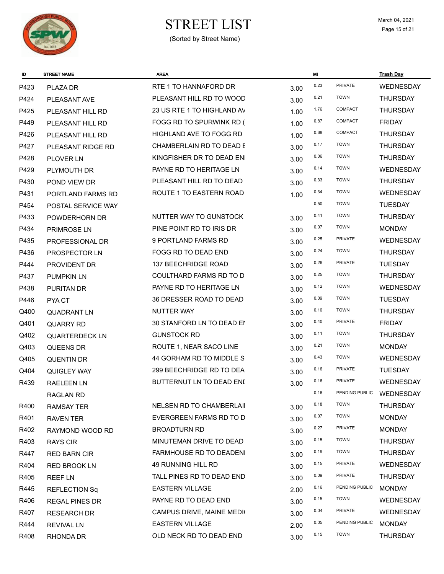

# $\begin{array}{ccc}\n\textbf{STREF LIST} & \textbf{March 04, 2021} \\
\textbf{Page 15 of 21}\n\end{array}$

| ID   | <b>STREET NAME</b>    | <b>AREA</b>                     |      | MI   |                | <b>Trash Day</b> |
|------|-----------------------|---------------------------------|------|------|----------------|------------------|
| P423 | PLAZA DR              | RTE 1 TO HANNAFORD DR           | 3.00 | 0.23 | <b>PRIVATE</b> | WEDNESDAY        |
| P424 | PLEASANT AVE          | PLEASANT HILL RD TO WOOD        | 3.00 | 0.21 | <b>TOWN</b>    | <b>THURSDAY</b>  |
| P425 | PLEASANT HILL RD      | 23 US RTE 1 TO HIGHLAND AV      | 1.00 | 1.76 | <b>COMPACT</b> | <b>THURSDAY</b>  |
| P449 | PLEASANT HILL RD      | FOGG RD TO SPURWINK RD (        | 1.00 | 0.87 | <b>COMPACT</b> | <b>FRIDAY</b>    |
| P426 | PLEASANT HILL RD      | <b>HIGHLAND AVE TO FOGG RD</b>  | 1.00 | 0.68 | <b>COMPACT</b> | THURSDAY         |
| P427 | PLEASANT RIDGE RD     | CHAMBERLAIN RD TO DEAD E        | 3.00 | 0.17 | <b>TOWN</b>    | <b>THURSDAY</b>  |
| P428 | <b>PLOVER LN</b>      | KINGFISHER DR TO DEAD ENI       | 3.00 | 0.06 | <b>TOWN</b>    | <b>THURSDAY</b>  |
| P429 | PLYMOUTH DR           | PAYNE RD TO HERITAGE LN         | 3.00 | 0.14 | <b>TOWN</b>    | WEDNESDAY        |
| P430 | POND VIEW DR          | PLEASANT HILL RD TO DEAD        | 3.00 | 0.33 | <b>TOWN</b>    | <b>THURSDAY</b>  |
| P431 | PORTLAND FARMS RD     | ROUTE 1 TO EASTERN ROAD         | 1.00 | 0.34 | <b>TOWN</b>    | WEDNESDAY        |
| P454 | POSTAL SERVICE WAY    |                                 |      | 0.50 | <b>TOWN</b>    | <b>TUESDAY</b>   |
| P433 | POWDERHORN DR         | NUTTER WAY TO GUNSTOCK          | 3.00 | 0.41 | <b>TOWN</b>    | <b>THURSDAY</b>  |
| P434 | PRIMROSE LN           | PINE POINT RD TO IRIS DR        | 3.00 | 0.07 | <b>TOWN</b>    | <b>MONDAY</b>    |
| P435 | PROFESSIONAL DR       | 9 PORTLAND FARMS RD             | 3.00 | 0.25 | <b>PRIVATE</b> | WEDNESDAY        |
| P436 | PROSPECTOR LN         | FOGG RD TO DEAD END             | 3.00 | 0.24 | <b>TOWN</b>    | <b>THURSDAY</b>  |
| P444 | PROVIDENT DR          | 137 BEECHRIDGE ROAD             | 3.00 | 0.26 | <b>PRIVATE</b> | <b>TUESDAY</b>   |
| P437 | <b>PUMPKIN LN</b>     | COULTHARD FARMS RD TO D         | 3.00 | 0.25 | <b>TOWN</b>    | <b>THURSDAY</b>  |
| P438 | PURITAN DR            | PAYNE RD TO HERITAGE LN         | 3.00 | 0.12 | <b>TOWN</b>    | <b>WEDNESDAY</b> |
| P446 | PYA CT                | 36 DRESSER ROAD TO DEAD         | 3.00 | 0.09 | <b>TOWN</b>    | <b>TUESDAY</b>   |
| Q400 | <b>QUADRANT LN</b>    | <b>NUTTER WAY</b>               | 3.00 | 0.10 | <b>TOWN</b>    | <b>THURSDAY</b>  |
| Q401 | <b>QUARRY RD</b>      | 30 STANFORD LN TO DEAD EN       | 3.00 | 0.40 | PRIVATE        | <b>FRIDAY</b>    |
| Q402 | <b>QUARTERDECK LN</b> | <b>GUNSTOCK RD</b>              | 3.00 | 0.11 | <b>TOWN</b>    | <b>THURSDAY</b>  |
| Q403 | <b>QUEENS DR</b>      | ROUTE 1, NEAR SACO LINE         | 3.00 | 0.21 | <b>TOWN</b>    | <b>MONDAY</b>    |
| Q405 | <b>QUENTIN DR</b>     | 44 GORHAM RD TO MIDDLE S        | 3.00 | 0.43 | <b>TOWN</b>    | <b>WEDNESDAY</b> |
| Q404 | <b>QUIGLEY WAY</b>    | 299 BEECHRIDGE RD TO DEA        | 3.00 | 0.16 | <b>PRIVATE</b> | <b>TUESDAY</b>   |
| R439 | <b>RAELEEN LN</b>     | BUTTERNUT LN TO DEAD ENI        | 3.00 | 0.16 | <b>PRIVATE</b> | <b>WEDNESDAY</b> |
|      | RAGLAN RD             |                                 |      | 0.16 | PENDING PUBLIC | <b>WEDNESDAY</b> |
| R400 | <b>RAMSAY TER</b>     | <b>NELSEN RD TO CHAMBERLAIL</b> | 3.00 | 0.18 | <b>TOWN</b>    | <b>THURSDAY</b>  |
| R401 | RAVEN TER             | EVERGREEN FARMS RD TO D         | 3.00 | 0.07 | <b>TOWN</b>    | <b>MONDAY</b>    |
| R402 | RAYMOND WOOD RD       | <b>BROADTURN RD</b>             | 3.00 | 0.27 | PRIVATE        | <b>MONDAY</b>    |
| R403 | <b>RAYS CIR</b>       | MINUTEMAN DRIVE TO DEAD         | 3.00 | 0.15 | <b>TOWN</b>    | <b>THURSDAY</b>  |
| R447 | <b>RED BARN CIR</b>   | FARMHOUSE RD TO DEADENI         | 3.00 | 0.19 | <b>TOWN</b>    | <b>THURSDAY</b>  |
| R404 | RED BROOK LN          | 49 RUNNING HILL RD              | 3.00 | 0.15 | <b>PRIVATE</b> | WEDNESDAY        |
| R405 | <b>REEF LN</b>        | TALL PINES RD TO DEAD END       | 3.00 | 0.09 | PRIVATE        | <b>THURSDAY</b>  |
| R445 | REFLECTION Sq         | <b>EASTERN VILLAGE</b>          | 2.00 | 0.16 | PENDING PUBLIC | <b>MONDAY</b>    |
| R406 | <b>REGAL PINES DR</b> | PAYNE RD TO DEAD END            | 3.00 | 0.15 | <b>TOWN</b>    | WEDNESDAY        |
| R407 | <b>RESEARCH DR</b>    | CAMPUS DRIVE, MAINE MEDIO       | 3.00 | 0.04 | PRIVATE        | WEDNESDAY        |
| R444 | <b>REVIVAL LN</b>     | <b>EASTERN VILLAGE</b>          | 2.00 | 0.05 | PENDING PUBLIC | <b>MONDAY</b>    |
| R408 | RHONDA DR             | OLD NECK RD TO DEAD END         | 3.00 | 0.15 | <b>TOWN</b>    | <b>THURSDAY</b>  |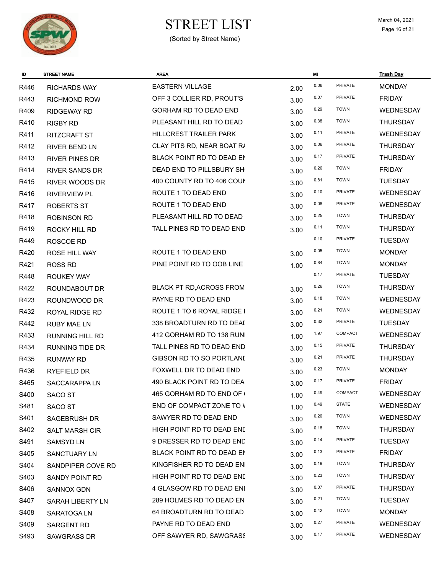

# $\begin{array}{ccc}\n\textbf{STREF LIST} & \textbf{March 04, 2021} \\
\textbf{Page 16 of 21}\n\end{array}$

| ID               | <b>STREET NAME</b>      | <b>AREA</b>                     |      | MI   |                | <b>Trash Day</b> |
|------------------|-------------------------|---------------------------------|------|------|----------------|------------------|
| R446             | <b>RICHARDS WAY</b>     | <b>EASTERN VILLAGE</b>          | 2.00 | 0.06 | PRIVATE        | <b>MONDAY</b>    |
| R443             | <b>RICHMOND ROW</b>     | OFF 3 COLLIER RD, PROUT'S       | 3.00 | 0.07 | PRIVATE        | <b>FRIDAY</b>    |
| R409             | <b>RIDGEWAY RD</b>      | <b>GORHAM RD TO DEAD END</b>    | 3.00 | 0.29 | <b>TOWN</b>    | WEDNESDAY        |
| R410             | <b>RIGBY RD</b>         | PLEASANT HILL RD TO DEAD        | 3.00 | 0.38 | <b>TOWN</b>    | <b>THURSDAY</b>  |
| R411             | <b>RITZCRAFT ST</b>     | HILLCREST TRAILER PARK          | 3.00 | 0.11 | <b>PRIVATE</b> | <b>WEDNESDAY</b> |
| R412             | <b>RIVER BEND LN</b>    | CLAY PITS RD, NEAR BOAT R/      | 3.00 | 0.06 | <b>PRIVATE</b> | THURSDAY         |
| R413             | <b>RIVER PINES DR</b>   | BLACK POINT RD TO DEAD EN       | 3.00 | 0.17 | <b>PRIVATE</b> | <b>THURSDAY</b>  |
| R414             | <b>RIVER SANDS DR</b>   | DEAD END TO PILLSBURY SH        | 3.00 | 0.26 | <b>TOWN</b>    | <b>FRIDAY</b>    |
| R415             | <b>RIVER WOODS DR</b>   | 400 COUNTY RD TO 406 COUN       | 3.00 | 0.81 | <b>TOWN</b>    | <b>TUESDAY</b>   |
| R416             | <b>RIVERVIEW PL</b>     | ROUTE 1 TO DEAD END             | 3.00 | 0.10 | <b>PRIVATE</b> | <b>WEDNESDAY</b> |
| R417             | <b>ROBERTS ST</b>       | ROUTE 1 TO DEAD END             | 3.00 | 0.08 | <b>PRIVATE</b> | WEDNESDAY        |
| R418             | <b>ROBINSON RD</b>      | PLEASANT HILL RD TO DEAD        | 3.00 | 0.25 | <b>TOWN</b>    | <b>THURSDAY</b>  |
| R419             | ROCKY HILL RD           | TALL PINES RD TO DEAD END       | 3.00 | 0.11 | <b>TOWN</b>    | <b>THURSDAY</b>  |
| R449             | ROSCOE RD               |                                 |      | 0.10 | <b>PRIVATE</b> | <b>TUESDAY</b>   |
| R420             | <b>ROSE HILL WAY</b>    | ROUTE 1 TO DEAD END             | 3.00 | 0.05 | <b>TOWN</b>    | <b>MONDAY</b>    |
| R421             | <b>ROSS RD</b>          | PINE POINT RD TO OOB LINE       | 1.00 | 0.84 | <b>TOWN</b>    | <b>MONDAY</b>    |
| R448             | <b>ROUKEY WAY</b>       |                                 |      | 0.17 | <b>PRIVATE</b> | <b>TUESDAY</b>   |
| R422             | ROUNDABOUT DR           | <b>BLACK PT RD, ACROSS FROM</b> | 3.00 | 0.26 | <b>TOWN</b>    | <b>THURSDAY</b>  |
| R423             | ROUNDWOOD DR            | PAYNE RD TO DEAD END            | 3.00 | 0.18 | <b>TOWN</b>    | WEDNESDAY        |
| R432             | ROYAL RIDGE RD          | ROUTE 1 TO 6 ROYAL RIDGE I      | 3.00 | 0.21 | <b>TOWN</b>    | WEDNESDAY        |
| R442             | <b>RUBY MAE LN</b>      | 338 BROADTURN RD TO DEAI        | 3.00 | 0.32 | <b>PRIVATE</b> | <b>TUESDAY</b>   |
| R433             | <b>RUNNING HILL RD</b>  | 412 GORHAM RD TO 138 RUNI       | 1.00 | 1.97 | COMPACT        | <b>WEDNESDAY</b> |
| R434             | <b>RUNNING TIDE DR</b>  | TALL PINES RD TO DEAD END       | 3.00 | 0.15 | <b>PRIVATE</b> | <b>THURSDAY</b>  |
| R435             | <b>RUNWAY RD</b>        | GIBSON RD TO SO PORTLANI        | 3.00 | 0.21 | <b>PRIVATE</b> | <b>THURSDAY</b>  |
| R436             | RYEFIELD DR             | FOXWELL DR TO DEAD END          | 3.00 | 0.23 | <b>TOWN</b>    | <b>MONDAY</b>    |
| S465             | SACCARAPPA LN           | 490 BLACK POINT RD TO DEA       | 3.00 | 0.17 | PRIVATE        | <b>FRIDAY</b>    |
| S400             | SACO ST                 | 465 GORHAM RD TO END OF (       | 1.00 | 0.49 | COMPACT        | WEDNESDAY        |
| S481             | SACO ST                 | END OF COMPACT ZONE TO V        | 1.00 | 0.49 | <b>STATE</b>   | WEDNESDAY        |
| S401             | <b>SAGEBRUSH DR</b>     | SAWYER RD TO DEAD END           | 3.00 | 0.20 | <b>TOWN</b>    | WEDNESDAY        |
| S402             | SALT MARSH CIR          | HIGH POINT RD TO DEAD END       | 3.00 | 0.18 | <b>TOWN</b>    | <b>THURSDAY</b>  |
| S491             | <b>SAMSYD LN</b>        | 9 DRESSER RD TO DEAD END        | 3.00 | 0.14 | PRIVATE        | <b>TUESDAY</b>   |
| S405             | SANCTUARY LN            | BLACK POINT RD TO DEAD EN       | 3.00 | 0.13 | <b>PRIVATE</b> | <b>FRIDAY</b>    |
| S404             | SANDPIPER COVE RD       | KINGFISHER RD TO DEAD ENI       | 3.00 | 0.19 | <b>TOWN</b>    | <b>THURSDAY</b>  |
| S403             | SANDY POINT RD          | HIGH POINT RD TO DEAD END       | 3.00 | 0.23 | <b>TOWN</b>    | <b>THURSDAY</b>  |
| S406             | <b>SANNOX GDN</b>       | 4 GLASGOW RD TO DEAD ENI        | 3.00 | 0.07 | PRIVATE        | <b>THURSDAY</b>  |
| S407             | <b>SARAH LIBERTY LN</b> | 289 HOLMES RD TO DEAD EN        | 3.00 | 0.21 | <b>TOWN</b>    | <b>TUESDAY</b>   |
| S408             | SARATOGA LN             | 64 BROADTURN RD TO DEAD         | 3.00 | 0.42 | <b>TOWN</b>    | <b>MONDAY</b>    |
| S409             | <b>SARGENT RD</b>       | PAYNE RD TO DEAD END            | 3.00 | 0.27 | <b>PRIVATE</b> | <b>WEDNESDAY</b> |
| S <sub>493</sub> | <b>SAWGRASS DR</b>      | OFF SAWYER RD, SAWGRASS         | 3.00 | 0.17 | PRIVATE        | WEDNESDAY        |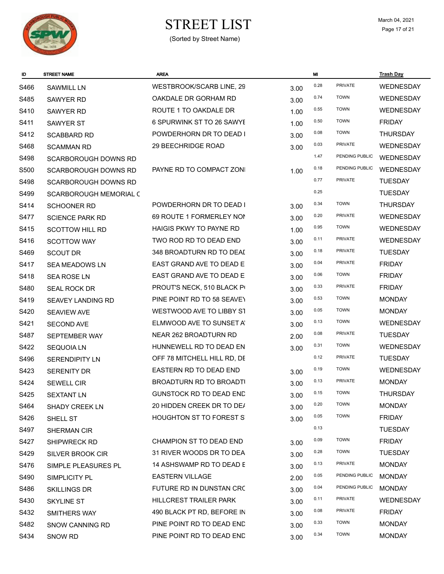

# $\begin{array}{ccc}\n\textbf{STREF LIST} & \textbf{March 04, 2021} \\
\textbf{Page 17 of 21}\n\end{array}$

| ID   | <b>STREET NAME</b>            | <b>AREA</b>                    |      | MI   |                | <b>Trash Day</b> |
|------|-------------------------------|--------------------------------|------|------|----------------|------------------|
| S466 | <b>SAWMILL LN</b>             | WESTBROOK/SCARB LINE, 29       | 3.00 | 0.28 | PRIVATE        | WEDNESDAY        |
| S485 | <b>SAWYER RD</b>              | OAKDALE DR GORHAM RD           | 3.00 | 0.74 | <b>TOWN</b>    | <b>WEDNESDAY</b> |
| S410 | <b>SAWYER RD</b>              | ROUTE 1 TO OAKDALE DR          | 1.00 | 0.55 | <b>TOWN</b>    | <b>WEDNESDAY</b> |
| S411 | <b>SAWYER ST</b>              | 6 SPURWINK ST TO 26 SAWYE      | 1.00 | 0.50 | <b>TOWN</b>    | <b>FRIDAY</b>    |
| S412 | <b>SCABBARD RD</b>            | POWDERHORN DR TO DEAD I        | 3.00 | 0.08 | <b>TOWN</b>    | <b>THURSDAY</b>  |
| S468 | <b>SCAMMAN RD</b>             | 29 BEECHRIDGE ROAD             | 3.00 | 0.03 | <b>PRIVATE</b> | <b>WEDNESDAY</b> |
| S498 | SCARBOROUGH DOWNS RD          |                                |      | 1.47 | PENDING PUBLIC | WEDNESDAY        |
| S500 | <b>SCARBOROUGH DOWNS RD</b>   | PAYNE RD TO COMPACT ZONI       | 1.00 | 0.18 | PENDING PUBLIC | WEDNESDAY        |
| S498 | <b>SCARBOROUGH DOWNS RD</b>   |                                |      | 0.77 | PRIVATE        | <b>TUESDAY</b>   |
| S499 | <b>SCARBOROUGH MEMORIAL C</b> |                                |      | 0.25 |                | <b>TUESDAY</b>   |
| S414 | <b>SCHOONER RD</b>            | POWDERHORN DR TO DEAD I        | 3.00 | 0.34 | <b>TOWN</b>    | <b>THURSDAY</b>  |
| S477 | <b>SCIENCE PARK RD</b>        | 69 ROUTE 1 FORMERLEY NON       | 3.00 | 0.20 | PRIVATE        | <b>WEDNESDAY</b> |
| S415 | <b>SCOTTOW HILL RD</b>        | <b>HAIGIS PKWY TO PAYNE RD</b> | 1.00 | 0.95 | <b>TOWN</b>    | <b>WEDNESDAY</b> |
| S416 | <b>SCOTTOW WAY</b>            | TWO ROD RD TO DEAD END         | 3.00 | 0.11 | <b>PRIVATE</b> | <b>WEDNESDAY</b> |
| S469 | <b>SCOUT DR</b>               | 348 BROADTURN RD TO DEAI       | 3.00 | 0.18 | <b>PRIVATE</b> | <b>TUESDAY</b>   |
| S417 | <b>SEA MEADOWS LN</b>         | EAST GRAND AVE TO DEAD E       | 3.00 | 0.04 | <b>PRIVATE</b> | <b>FRIDAY</b>    |
| S418 | <b>SEA ROSE LN</b>            | EAST GRAND AVE TO DEAD E       | 3.00 | 0.06 | <b>TOWN</b>    | <b>FRIDAY</b>    |
| S480 | <b>SEAL ROCK DR</b>           | PROUT'S NECK, 510 BLACK PI     | 3.00 | 0.33 | PRIVATE        | <b>FRIDAY</b>    |
| S419 | <b>SEAVEY LANDING RD</b>      | PINE POINT RD TO 58 SEAVEY     | 3.00 | 0.53 | <b>TOWN</b>    | <b>MONDAY</b>    |
| S420 | <b>SEAVIEW AVE</b>            | WESTWOOD AVE TO LIBBY ST       | 3.00 | 0.05 | <b>TOWN</b>    | <b>MONDAY</b>    |
| S421 | <b>SECOND AVE</b>             | ELMWOOD AVE TO SUNSET AT       | 3.00 | 0.13 | <b>TOWN</b>    | WEDNESDAY        |
| S487 | SEPTEMBER WAY                 | NEAR 262 BROADTURN RD          | 2.00 | 0.08 | <b>PRIVATE</b> | <b>TUESDAY</b>   |
| S422 | <b>SEQUOIA LN</b>             | HUNNEWELL RD TO DEAD EN        | 3.00 | 0.31 | <b>TOWN</b>    | <b>WEDNESDAY</b> |
| S496 | <b>SERENDIPITY LN</b>         | OFF 78 MITCHELL HILL RD, DE    |      | 0.12 | <b>PRIVATE</b> | <b>TUESDAY</b>   |
| S423 | <b>SERENITY DR</b>            | EASTERN RD TO DEAD END         | 3.00 | 0.19 | <b>TOWN</b>    | <b>WEDNESDAY</b> |
| S424 | <b>SEWELL CIR</b>             | BROADTURN RD TO BROADTI        | 3.00 | 0.13 | <b>PRIVATE</b> | <b>MONDAY</b>    |
| S425 | <b>SEXTANT LN</b>             | <b>GUNSTOCK RD TO DEAD END</b> | 3.00 | 0.15 | <b>TOWN</b>    | <b>THURSDAY</b>  |
| S464 | <b>SHADY CREEK LN</b>         | 20 HIDDEN CREEK DR TO DE/      | 3.00 | 0.20 | <b>TOWN</b>    | <b>MONDAY</b>    |
| S426 | SHELL ST                      | <b>HOUGHTON ST TO FOREST S</b> | 3.00 | 0.05 | <b>TOWN</b>    | <b>FRIDAY</b>    |
| S497 | <b>SHERMAN CIR</b>            |                                |      | 0.13 |                | <b>TUESDAY</b>   |
| S427 | SHIPWRECK RD                  | CHAMPION ST TO DEAD END        | 3.00 | 0.09 | <b>TOWN</b>    | <b>FRIDAY</b>    |
| S429 | SILVER BROOK CIR              | 31 RIVER WOODS DR TO DEA       | 3.00 | 0.28 | <b>TOWN</b>    | <b>TUESDAY</b>   |
| S476 | SIMPLE PLEASURES PL           | 14 ASHSWAMP RD TO DEAD E       | 3.00 | 0.13 | PRIVATE        | <b>MONDAY</b>    |
| S490 | SIMPLICITY PL                 | <b>EASTERN VILLAGE</b>         | 2.00 | 0.05 | PENDING PUBLIC | <b>MONDAY</b>    |
| S486 | <b>SKILLINGS DR</b>           | FUTURE RD IN DUNSTAN CRC       | 3.00 | 0.04 | PENDING PUBLIC | <b>MONDAY</b>    |
| S430 | <b>SKYLINE ST</b>             | HILLCREST TRAILER PARK         | 3.00 | 0.11 | <b>PRIVATE</b> | <b>WEDNESDAY</b> |
| S432 | SMITHERS WAY                  | 490 BLACK PT RD, BEFORE IN     | 3.00 | 0.08 | PRIVATE        | <b>FRIDAY</b>    |
| S482 | <b>SNOW CANNING RD</b>        | PINE POINT RD TO DEAD END      | 3.00 | 0.33 | <b>TOWN</b>    | <b>MONDAY</b>    |
| S434 | SNOW RD                       | PINE POINT RD TO DEAD END      | 3.00 | 0.34 | <b>TOWN</b>    | <b>MONDAY</b>    |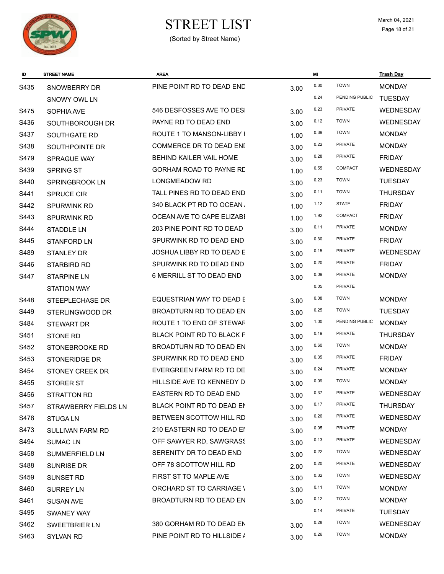

# $\begin{array}{ccc}\n\textbf{STREF LIST} & \textbf{March 04, 2021} \\
\textbf{Page 18 of 21}\n\end{array}$

| ID   | <b>STREET NAME</b>          | <b>AREA</b>                    |      | MI   |                | <u>Trash Day</u> |
|------|-----------------------------|--------------------------------|------|------|----------------|------------------|
| S435 | SNOWBERRY DR                | PINE POINT RD TO DEAD END      | 3.00 | 0.30 | <b>TOWN</b>    | <b>MONDAY</b>    |
|      | SNOWY OWL LN                |                                |      | 0.24 | PENDING PUBLIC | <b>TUESDAY</b>   |
| S475 | SOPHIA AVE                  | 546 DESFOSSES AVE TO DESI      | 3.00 | 0.23 | <b>PRIVATE</b> | <b>WEDNESDAY</b> |
| S436 | SOUTHBOROUGH DR             | PAYNE RD TO DEAD END           | 3.00 | 0.12 | <b>TOWN</b>    | <b>WEDNESDAY</b> |
| S437 | SOUTHGATE RD                | ROUTE 1 TO MANSON-LIBBY I      | 1.00 | 0.39 | <b>TOWN</b>    | <b>MONDAY</b>    |
| S438 | SOUTHPOINTE DR              | COMMERCE DR TO DEAD ENI        | 3.00 | 0.22 | <b>PRIVATE</b> | <b>MONDAY</b>    |
| S479 | SPRAGUE WAY                 | <b>BEHIND KAILER VAIL HOME</b> | 3.00 | 0.28 | <b>PRIVATE</b> | <b>FRIDAY</b>    |
| S439 | <b>SPRING ST</b>            | GORHAM ROAD TO PAYNE RE        | 1.00 | 0.55 | COMPACT        | <b>WEDNESDAY</b> |
| S440 | SPRINGBROOK LN              | LONGMEADOW RD                  | 3.00 | 0.23 | <b>TOWN</b>    | <b>TUESDAY</b>   |
| S441 | <b>SPRUCE CIR</b>           | TALL PINES RD TO DEAD END      | 3.00 | 0.11 | <b>TOWN</b>    | <b>THURSDAY</b>  |
| S442 | <b>SPURWINK RD</b>          | 340 BLACK PT RD TO OCEAN,      | 1.00 | 1.12 | <b>STATE</b>   | <b>FRIDAY</b>    |
| S443 | <b>SPURWINK RD</b>          | OCEAN AVE TO CAPE ELIZABI      | 1.00 | 1.92 | COMPACT        | <b>FRIDAY</b>    |
| S444 | <b>STADDLE LN</b>           | 203 PINE POINT RD TO DEAD      | 3.00 | 0.11 | <b>PRIVATE</b> | <b>MONDAY</b>    |
| S445 | <b>STANFORD LN</b>          | SPURWINK RD TO DEAD END        | 3.00 | 0.30 | <b>PRIVATE</b> | <b>FRIDAY</b>    |
| S489 | <b>STANLEY DR</b>           | JOSHUA LIBBY RD TO DEAD E      | 3.00 | 0.15 | <b>PRIVATE</b> | <b>WEDNESDAY</b> |
| S446 | STARBIRD RD                 | SPURWINK RD TO DEAD END        | 3.00 | 0.20 | <b>PRIVATE</b> | <b>FRIDAY</b>    |
| S447 | <b>STARPINE LN</b>          | 6 MERRILL ST TO DEAD END       | 3.00 | 0.09 | <b>PRIVATE</b> | <b>MONDAY</b>    |
|      | <b>STATION WAY</b>          |                                |      | 0.05 | <b>PRIVATE</b> |                  |
| S448 | STEEPLECHASE DR             | EQUESTRIAN WAY TO DEAD E       | 3.00 | 0.08 | <b>TOWN</b>    | <b>MONDAY</b>    |
| S449 | STERLINGWOOD DR             | BROADTURN RD TO DEAD EN        | 3.00 | 0.25 | <b>TOWN</b>    | <b>TUESDAY</b>   |
| S484 | STEWART DR                  | ROUTE 1 TO END OF STEWAF       | 3.00 | 1.00 | PENDING PUBLIC | <b>MONDAY</b>    |
| S451 | <b>STONE RD</b>             | BLACK POINT RD TO BLACK P      | 3.00 | 0.19 | <b>PRIVATE</b> | <b>THURSDAY</b>  |
| S452 | STONEBROOKE RD              | BROADTURN RD TO DEAD EN        | 3.00 | 0.60 | <b>TOWN</b>    | <b>MONDAY</b>    |
| S453 | STONERIDGE DR               | SPURWINK RD TO DEAD END        | 3.00 | 0.35 | <b>PRIVATE</b> | <b>FRIDAY</b>    |
| S454 | STONEY CREEK DR             | EVERGREEN FARM RD TO DE        | 3.00 | 0.24 | <b>PRIVATE</b> | <b>MONDAY</b>    |
| S455 | <b>STORER ST</b>            | HILLSIDE AVE TO KENNEDY D      | 3.00 | 0.09 | <b>TOWN</b>    | <b>MONDAY</b>    |
| S456 | STRATTON RD                 | EASTERN RD TO DEAD END         | 3.00 | 0.37 | PRIVATE        | WEDNESDAY        |
| S457 | <b>STRAWBERRY FIELDS LN</b> | BLACK POINT RD TO DEAD EN      | 3.00 | 0.17 | <b>PRIVATE</b> | <b>THURSDAY</b>  |
| S478 | <b>STUGALN</b>              | BETWEEN SCOTTOW HILL RD        | 3.00 | 0.26 | <b>PRIVATE</b> | WEDNESDAY        |
| S473 | <b>SULLIVAN FARM RD</b>     | 210 EASTERN RD TO DEAD EI      | 3.00 | 0.05 | <b>PRIVATE</b> | <b>MONDAY</b>    |
| S494 | <b>SUMACLN</b>              | OFF SAWYER RD, SAWGRASS        | 3.00 | 0.13 | <b>PRIVATE</b> | <b>WEDNESDAY</b> |
| S458 | SUMMERFIELD LN              | SERENITY DR TO DEAD END        | 3.00 | 0.22 | <b>TOWN</b>    | WEDNESDAY        |
| S488 | <b>SUNRISE DR</b>           | OFF 78 SCOTTOW HILL RD         | 2.00 | 0.20 | <b>PRIVATE</b> | WEDNESDAY        |
| S459 | SUNSET RD                   | FIRST ST TO MAPLE AVE          | 3.00 | 0.32 | <b>TOWN</b>    | <b>WEDNESDAY</b> |
| S460 | <b>SURREY LN</b>            | ORCHARD ST TO CARRIAGE \       | 3.00 | 0.11 | <b>TOWN</b>    | <b>MONDAY</b>    |
| S461 | <b>SUSAN AVE</b>            | BROADTURN RD TO DEAD EN        | 3.00 | 0.12 | <b>TOWN</b>    | <b>MONDAY</b>    |
| S495 | <b>SWANEY WAY</b>           |                                |      | 0.14 | <b>PRIVATE</b> | <b>TUESDAY</b>   |
| S462 | SWEETBRIER LN               | 380 GORHAM RD TO DEAD EN       | 3.00 | 0.28 | <b>TOWN</b>    | <b>WEDNESDAY</b> |
| S463 | SYLVAN RD                   | PINE POINT RD TO HILLSIDE /    | 3.00 | 0.26 | <b>TOWN</b>    | <b>MONDAY</b>    |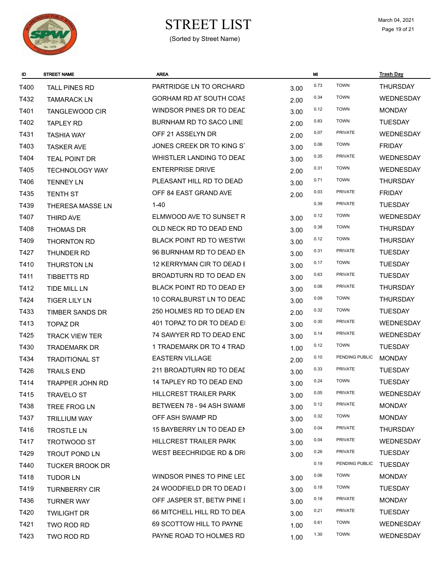

# $\begin{array}{ccc}\n\textbf{STREF LIST} & \textbf{March 04, 2021} \\
\textbf{Page 19 of 21}\n\end{array}$

| ID   | <b>STREET NAME</b>     | <b>AREA</b>                     |      | MI   |                | <b>Trash Day</b> |
|------|------------------------|---------------------------------|------|------|----------------|------------------|
| T400 | <b>TALL PINES RD</b>   | PARTRIDGE LN TO ORCHARD         | 3.00 | 0.73 | <b>TOWN</b>    | <b>THURSDAY</b>  |
| T432 | <b>TAMARACK LN</b>     | GORHAM RD AT SOUTH COAS         | 2.00 | 0.34 | <b>TOWN</b>    | WEDNESDAY        |
| T401 | <b>TANGLEWOOD CIR</b>  | WINDSOR PINES DR TO DEAD        | 3.00 | 0.12 | <b>TOWN</b>    | <b>MONDAY</b>    |
| T402 | <b>TAPLEY RD</b>       | BURNHAM RD TO SACO LINE         | 2.00 | 0.83 | <b>TOWN</b>    | <b>TUESDAY</b>   |
| T431 | <b>TASHIA WAY</b>      | OFF 21 ASSELYN DR               | 2.00 | 0.07 | <b>PRIVATE</b> | WEDNESDAY        |
| T403 | <b>TASKER AVE</b>      | JONES CREEK DR TO KING ST       | 3.00 | 0.06 | <b>TOWN</b>    | <b>FRIDAY</b>    |
| T404 | <b>TEAL POINT DR</b>   | WHISTLER LANDING TO DEAD        | 3.00 | 0.35 | <b>PRIVATE</b> | WEDNESDAY        |
| T405 | <b>TECHNOLOGY WAY</b>  | <b>ENTERPRISE DRIVE</b>         | 2.00 | 0.31 | <b>TOWN</b>    | WEDNESDAY        |
| T406 | <b>TENNEY LN</b>       | PLEASANT HILL RD TO DEAD        | 3.00 | 0.71 | <b>TOWN</b>    | <b>THURSDAY</b>  |
| T435 | <b>TENTH ST</b>        | OFF 84 EAST GRAND AVE           | 2.00 | 0.03 | <b>PRIVATE</b> | <b>FRIDAY</b>    |
| T439 | THERESA MASSE LN       | $1 - 40$                        |      | 0.39 | <b>PRIVATE</b> | <b>TUESDAY</b>   |
| T407 | THIRD AVE              | ELMWOOD AVE TO SUNSET R         | 3.00 | 0.12 | <b>TOWN</b>    | WEDNESDAY        |
| T408 | <b>THOMAS DR</b>       | OLD NECK RD TO DEAD END         | 3.00 | 0.38 | <b>TOWN</b>    | <b>THURSDAY</b>  |
| T409 | THORNTON RD            | <b>BLACK POINT RD TO WESTWO</b> | 3.00 | 0.12 | <b>TOWN</b>    | <b>THURSDAY</b>  |
| T427 | THUNDER RD             | 96 BURNHAM RD TO DEAD EN        | 3.00 | 0.31 | PRIVATE        | <b>TUESDAY</b>   |
| T410 | <b>THURSTON LN</b>     | 12 KERRYMAN CIR TO DEAD E       | 3.00 | 0.17 | <b>TOWN</b>    | <b>TUESDAY</b>   |
| T411 | TIBBETTS RD            | BROADTURN RD TO DEAD EN         | 3.00 | 0.63 | <b>PRIVATE</b> | <b>TUESDAY</b>   |
| T412 | <b>TIDE MILL LN</b>    | BLACK POINT RD TO DEAD EN       | 3.00 | 0.06 | <b>PRIVATE</b> | <b>THURSDAY</b>  |
| T424 | <b>TIGER LILY LN</b>   | 10 CORALBURST LN TO DEAD        | 3.00 | 0.09 | <b>TOWN</b>    | <b>THURSDAY</b>  |
| T433 | TIMBER SANDS DR        | 250 HOLMES RD TO DEAD EN        | 2.00 | 0.32 | <b>TOWN</b>    | <b>TUESDAY</b>   |
| T413 | <b>TOPAZ DR</b>        | 401 TOPAZ TO DR TO DEAD EI      | 3.00 | 0.30 | <b>PRIVATE</b> | WEDNESDAY        |
| T425 | <b>TRACK VIEW TER</b>  | 74 SAWYER RD TO DEAD END        | 3.00 | 0.14 | PRIVATE        | WEDNESDAY        |
| T430 | <b>TRADEMARK DR</b>    | 1 TRADEMARK DR TO 4 TRAD        | 1.00 | 0.12 | <b>TOWN</b>    | <b>TUESDAY</b>   |
| T434 | <b>TRADITIONAL ST</b>  | <b>EASTERN VILLAGE</b>          | 2.00 | 0.10 | PENDING PUBLIC | <b>MONDAY</b>    |
| T426 | <b>TRAILS END</b>      | 211 BROADTURN RD TO DEAL        | 3.00 | 0.33 | <b>PRIVATE</b> | <b>TUESDAY</b>   |
| T414 | TRAPPER JOHN RD        | 14 TAPLEY RD TO DEAD END        | 3.00 | 0.24 | <b>TOWN</b>    | <b>TUESDAY</b>   |
| T415 | TRAVELO ST             | HILLCREST TRAILER PARK          | 3.00 | 0.05 | <b>PRIVATE</b> | WEDNESDAY        |
| T438 | TREE FROG LN           | BETWEEN 78 - 94 ASH SWAMI       | 3.00 | 0.12 | PRIVATE        | <b>MONDAY</b>    |
| T437 | <b>TRILLIUM WAY</b>    | OFF ASH SWAMP RD                | 3.00 | 0.32 | <b>TOWN</b>    | <b>MONDAY</b>    |
| T416 | <b>TROSTLE LN</b>      | 15 BAYBERRY LN TO DEAD EN       | 3.00 | 0.04 | PRIVATE        | <b>THURSDAY</b>  |
| T417 | TROTWOOD ST            | HILLCREST TRAILER PARK          | 3.00 | 0.04 | PRIVATE        | WEDNESDAY        |
| T429 | <b>TROUT POND LN</b>   | WEST BEECHRIDGE RD & DRI        | 3.00 | 0.26 | PRIVATE        | <b>TUESDAY</b>   |
| T440 | <b>TUCKER BROOK DR</b> |                                 |      | 0.19 | PENDING PUBLIC | <b>TUESDAY</b>   |
| T418 | <b>TUDOR LN</b>        | WINDSOR PINES TO PINE LED       | 3.00 | 0.06 | <b>TOWN</b>    | <b>MONDAY</b>    |
| T419 | <b>TURNBERRY CIR</b>   | 24 WOODFIELD DR TO DEAD I       | 3.00 | 0.18 | <b>TOWN</b>    | <b>TUESDAY</b>   |
| T436 | <b>TURNER WAY</b>      | OFF JASPER ST, BETW PINE I      | 3.00 | 0.18 | <b>PRIVATE</b> | <b>MONDAY</b>    |
| T420 | <b>TWILIGHT DR</b>     | 66 MITCHELL HILL RD TO DEA      | 3.00 | 0.21 | PRIVATE        | <b>TUESDAY</b>   |
| T421 | TWO ROD RD             | 69 SCOTTOW HILL TO PAYNE        | 1.00 | 0.61 | <b>TOWN</b>    | <b>WEDNESDAY</b> |
| T423 | TWO ROD RD             | PAYNE ROAD TO HOLMES RD         | 1.00 | 1.30 | <b>TOWN</b>    | <b>WEDNESDAY</b> |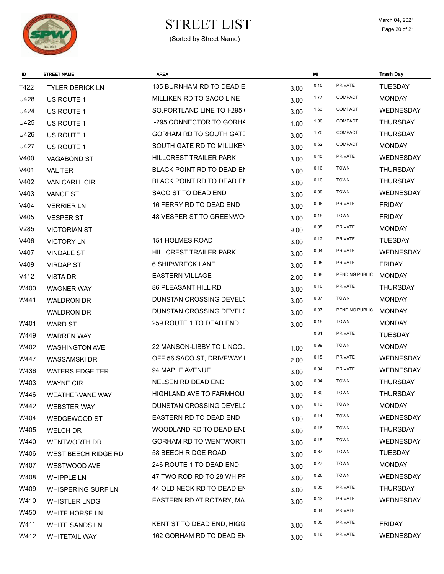

# $\begin{array}{ccc}\n\textbf{STREF LIST} & \textbf{March 04, 2021} \\
\textbf{Page 20 of 21}\n\end{array}$

| ID   | <b>STREET NAME</b>         | <b>AREA</b>                     |      | MI   |                | <b>Trash Day</b> |
|------|----------------------------|---------------------------------|------|------|----------------|------------------|
| T422 | <b>TYLER DERICK LN</b>     | 135 BURNHAM RD TO DEAD E        | 3.00 | 0.10 | PRIVATE        | <b>TUESDAY</b>   |
| U428 | US ROUTE 1                 | MILLIKEN RD TO SACO LINE        | 3.00 | 1.77 | COMPACT        | <b>MONDAY</b>    |
| U424 | US ROUTE 1                 | SO.PORTLAND LINE TO I-295 (     | 3.00 | 1.63 | COMPACT        | <b>WEDNESDAY</b> |
| U425 | <b>US ROUTE 1</b>          | <b>I-295 CONNECTOR TO GORHA</b> | 1.00 | 1.00 | COMPACT        | <b>THURSDAY</b>  |
| U426 | US ROUTE 1                 | GORHAM RD TO SOUTH GATE         | 3.00 | 1.70 | COMPACT        | <b>THURSDAY</b>  |
| U427 | US ROUTE 1                 | SOUTH GATE RD TO MILLIKEN       | 3.00 | 0.62 | COMPACT        | <b>MONDAY</b>    |
| V400 | <b>VAGABOND ST</b>         | HILLCREST TRAILER PARK          | 3.00 | 0.45 | <b>PRIVATE</b> | WEDNESDAY        |
| V401 | VAL TER                    | BLACK POINT RD TO DEAD EN       | 3.00 | 0.16 | <b>TOWN</b>    | <b>THURSDAY</b>  |
| V402 | VAN CARLL CIR              | BLACK POINT RD TO DEAD EN       | 3.00 | 0.10 | <b>TOWN</b>    | <b>THURSDAY</b>  |
| V403 | <b>VANCE ST</b>            | SACO ST TO DEAD END             | 3.00 | 0.09 | <b>TOWN</b>    | <b>WEDNESDAY</b> |
| V404 | <b>VERRIER LN</b>          | 16 FERRY RD TO DEAD END         | 3.00 | 0.06 | <b>PRIVATE</b> | <b>FRIDAY</b>    |
| V405 | <b>VESPER ST</b>           | 48 VESPER ST TO GREENWO         | 3.00 | 0.18 | <b>TOWN</b>    | <b>FRIDAY</b>    |
| V285 | <b>VICTORIAN ST</b>        |                                 | 9.00 | 0.05 | <b>PRIVATE</b> | <b>MONDAY</b>    |
| V406 | <b>VICTORY LN</b>          | <b>151 HOLMES ROAD</b>          | 3.00 | 0.12 | <b>PRIVATE</b> | <b>TUESDAY</b>   |
| V407 | <b>VINDALE ST</b>          | HILLCREST TRAILER PARK          | 3.00 | 0.04 | <b>PRIVATE</b> | WEDNESDAY        |
| V409 | <b>VIRDAP ST</b>           | <b>6 SHIPWRECK LANE</b>         | 3.00 | 0.05 | <b>PRIVATE</b> | <b>FRIDAY</b>    |
| V412 | <b>VISTA DR</b>            | <b>EASTERN VILLAGE</b>          | 2.00 | 0.38 | PENDING PUBLIC | <b>MONDAY</b>    |
| W400 | <b>WAGNER WAY</b>          | <b>86 PLEASANT HILL RD</b>      | 3.00 | 0.10 | <b>PRIVATE</b> | <b>THURSDAY</b>  |
| W441 | <b>WALDRON DR</b>          | DUNSTAN CROSSING DEVEL(         | 3.00 | 0.37 | <b>TOWN</b>    | <b>MONDAY</b>    |
|      | <b>WALDRON DR</b>          | DUNSTAN CROSSING DEVEL(         | 3.00 | 0.37 | PENDING PUBLIC | <b>MONDAY</b>    |
| W401 | <b>WARD ST</b>             | 259 ROUTE 1 TO DEAD END         | 3.00 | 0.18 | <b>TOWN</b>    | <b>MONDAY</b>    |
| W449 | <b>WARREN WAY</b>          |                                 |      | 0.31 | <b>PRIVATE</b> | <b>TUESDAY</b>   |
| W402 | <b>WASHINGTON AVE</b>      | 22 MANSON-LIBBY TO LINCOL       | 1.00 | 0.99 | <b>TOWN</b>    | <b>MONDAY</b>    |
| W447 | <b>WASSAMSKIDR</b>         | OFF 56 SACO ST, DRIVEWAY I      | 2.00 | 0.15 | PRIVATE        | WEDNESDAY        |
| W436 | <b>WATERS EDGE TER</b>     | 94 MAPLE AVENUE                 | 3.00 | 0.04 | PRIVATE        | WEDNESDAY        |
| W403 | <b>WAYNE CIR</b>           | <b>NELSEN RD DEAD END</b>       | 3.00 | 0.04 | <b>TOWN</b>    | <b>THURSDAY</b>  |
| W446 | WEATHERVANE WAY            | HIGHLAND AVE TO FARMHOU         | 3.00 | 0.30 | <b>TOWN</b>    | THURSDAY         |
| W442 | <b>WEBSTER WAY</b>         | DUNSTAN CROSSING DEVEL(         | 3.00 | 0.13 | <b>TOWN</b>    | <b>MONDAY</b>    |
| W404 | WEDGEWOOD ST               | EASTERN RD TO DEAD END          | 3.00 | 0.11 | <b>TOWN</b>    | WEDNESDAY        |
| W405 | <b>WELCH DR</b>            | WOODLAND RD TO DEAD ENI         | 3.00 | 0.16 | <b>TOWN</b>    | <b>THURSDAY</b>  |
| W440 | WENTWORTH DR               | <b>GORHAM RD TO WENTWORTI</b>   | 3.00 | 0.15 | <b>TOWN</b>    | WEDNESDAY        |
| W406 | <b>WEST BEECH RIDGE RD</b> | 58 BEECH RIDGE ROAD             | 3.00 | 0.67 | <b>TOWN</b>    | <b>TUESDAY</b>   |
| W407 | <b>WESTWOOD AVE</b>        | 246 ROUTE 1 TO DEAD END         | 3.00 | 0.27 | <b>TOWN</b>    | <b>MONDAY</b>    |
| W408 | <b>WHIPPLE LN</b>          | 47 TWO ROD RD TO 28 WHIPF       | 3.00 | 0.26 | <b>TOWN</b>    | WEDNESDAY        |
| W409 | <b>WHISPERING SURF LN</b>  | 44 OLD NECK RD TO DEAD EN       | 3.00 | 0.05 | <b>PRIVATE</b> | <b>THURSDAY</b>  |
| W410 | <b>WHISTLER LNDG</b>       | EASTERN RD AT ROTARY, MA        | 3.00 | 0.43 | PRIVATE        | WEDNESDAY        |
| W450 | <b>WHITE HORSE LN</b>      |                                 |      | 0.04 | PRIVATE        |                  |
| W411 | <b>WHITE SANDS LN</b>      | KENT ST TO DEAD END, HIGG       | 3.00 | 0.05 | <b>PRIVATE</b> | <b>FRIDAY</b>    |
| W412 | <b>WHITETAIL WAY</b>       | 162 GORHAM RD TO DEAD EN        | 3.00 | 0.16 | PRIVATE        | WEDNESDAY        |